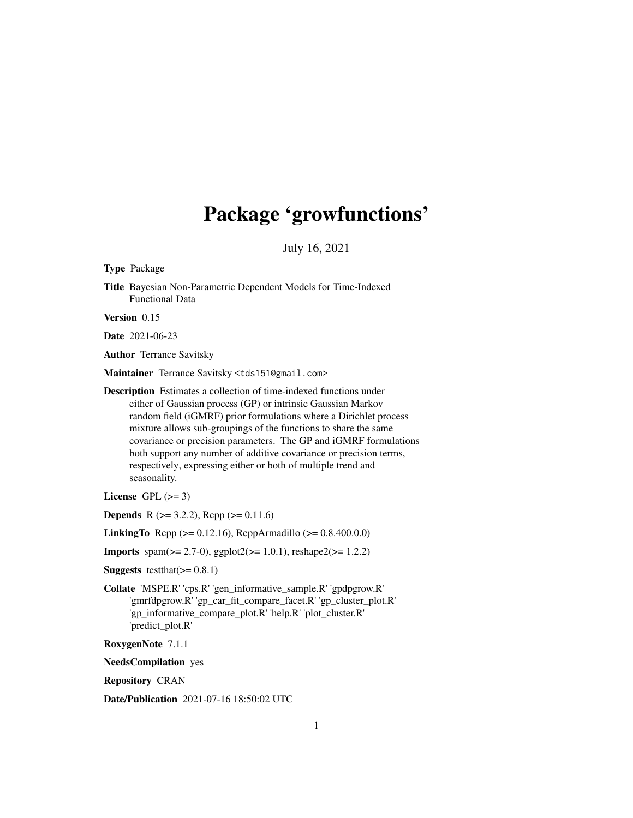# Package 'growfunctions'

July 16, 2021

Type Package

Title Bayesian Non-Parametric Dependent Models for Time-Indexed Functional Data

Version 0.15

Date 2021-06-23

Author Terrance Savitsky

Maintainer Terrance Savitsky <tds151@gmail.com>

Description Estimates a collection of time-indexed functions under either of Gaussian process (GP) or intrinsic Gaussian Markov random field (iGMRF) prior formulations where a Dirichlet process mixture allows sub-groupings of the functions to share the same covariance or precision parameters. The GP and iGMRF formulations both support any number of additive covariance or precision terms, respectively, expressing either or both of multiple trend and seasonality.

License GPL  $(>= 3)$ 

**Depends** R ( $>= 3.2.2$ ), Rcpp ( $>= 0.11.6$ )

LinkingTo Rcpp (>= 0.12.16), RcppArmadillo (>= 0.8.400.0.0)

**Imports** spam( $>= 2.7-0$ ), ggplot $2(>= 1.0.1)$ , reshape $2(>= 1.2.2)$ 

**Suggests** testthat $(>= 0.8.1)$ 

Collate 'MSPE.R' 'cps.R' 'gen\_informative\_sample.R' 'gpdpgrow.R' 'gmrfdpgrow.R' 'gp\_car\_fit\_compare\_facet.R' 'gp\_cluster\_plot.R' 'gp\_informative\_compare\_plot.R' 'help.R' 'plot\_cluster.R' 'predict\_plot.R'

RoxygenNote 7.1.1

NeedsCompilation yes

Repository CRAN

Date/Publication 2021-07-16 18:50:02 UTC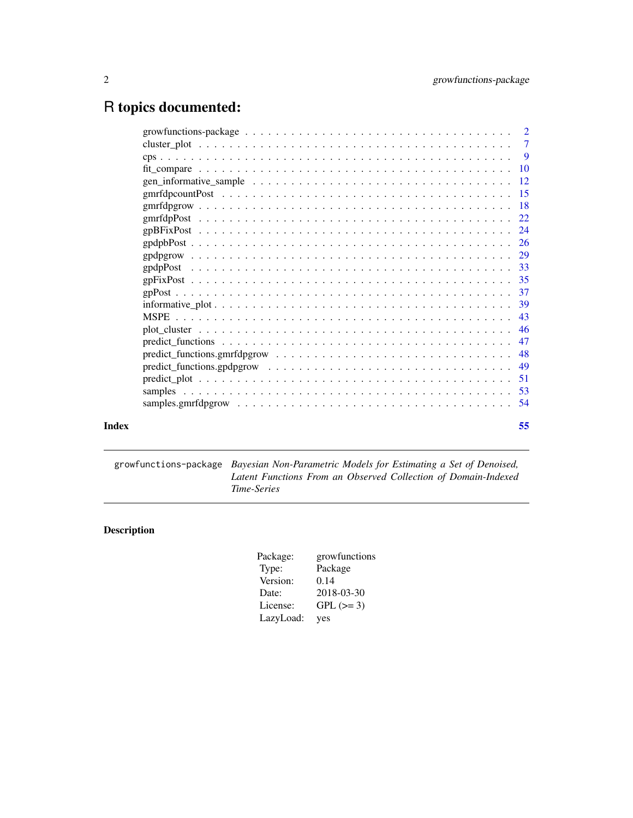## <span id="page-1-0"></span>R topics documented:

|       | $predict\_functions.gpdpgrow \dots \dots \dots \dots \dots \dots \dots \dots \dots \dots \dots \dots \dots \dots$ |    |
|-------|-------------------------------------------------------------------------------------------------------------------|----|
|       |                                                                                                                   |    |
|       |                                                                                                                   |    |
|       |                                                                                                                   |    |
| Index |                                                                                                                   | 55 |

growfunctions-package *Bayesian Non-Parametric Models for Estimating a Set of Denoised, Latent Functions From an Observed Collection of Domain-Indexed Time-Series*

## Description

| Package:  | growfunctions |
|-----------|---------------|
| Type:     | Package       |
| Version:  | 0.14          |
| Date:     | 2018-03-30    |
| License:  | $GPL (=3)$    |
| LazyLoad: | yes           |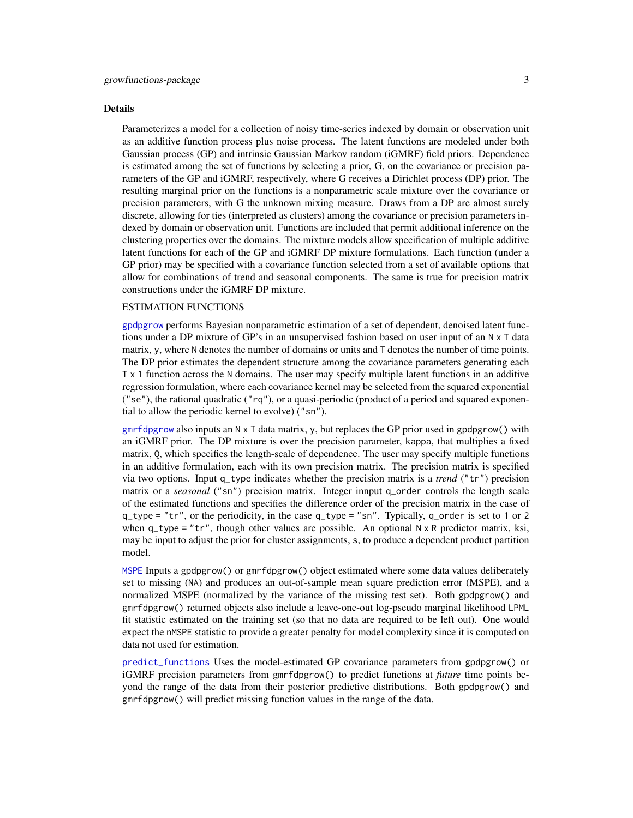#### <span id="page-2-0"></span>Details

Parameterizes a model for a collection of noisy time-series indexed by domain or observation unit as an additive function process plus noise process. The latent functions are modeled under both Gaussian process (GP) and intrinsic Gaussian Markov random (iGMRF) field priors. Dependence is estimated among the set of functions by selecting a prior, G, on the covariance or precision parameters of the GP and iGMRF, respectively, where G receives a Dirichlet process (DP) prior. The resulting marginal prior on the functions is a nonparametric scale mixture over the covariance or precision parameters, with G the unknown mixing measure. Draws from a DP are almost surely discrete, allowing for ties (interpreted as clusters) among the covariance or precision parameters indexed by domain or observation unit. Functions are included that permit additional inference on the clustering properties over the domains. The mixture models allow specification of multiple additive latent functions for each of the GP and iGMRF DP mixture formulations. Each function (under a GP prior) may be specified with a covariance function selected from a set of available options that allow for combinations of trend and seasonal components. The same is true for precision matrix constructions under the iGMRF DP mixture.

## ESTIMATION FUNCTIONS

[gpdpgrow](#page-28-1) performs Bayesian nonparametric estimation of a set of dependent, denoised latent functions under a DP mixture of GP's in an unsupervised fashion based on user input of an N x T data matrix, y, where N denotes the number of domains or units and T denotes the number of time points. The DP prior estimates the dependent structure among the covariance parameters generating each T x 1 function across the N domains. The user may specify multiple latent functions in an additive regression formulation, where each covariance kernel may be selected from the squared exponential ("se"), the rational quadratic (" $rq$ "), or a quasi-periodic (product of a period and squared exponential to allow the periodic kernel to evolve) ("sn").

 $gmrfdpgrow$  also inputs an N x T data matrix, y, but replaces the GP prior used in gpdpgrow() with an iGMRF prior. The DP mixture is over the precision parameter, kappa, that multiplies a fixed matrix, Q, which specifies the length-scale of dependence. The user may specify multiple functions in an additive formulation, each with its own precision matrix. The precision matrix is specified via two options. Input q\_type indicates whether the precision matrix is a *trend* ("tr") precision matrix or a *seasonal* ("sn") precision matrix. Integer innput q\_order controls the length scale of the estimated functions and specifies the difference order of the precision matrix in the case of  $q_t$  type = "tr", or the periodicity, in the case  $q_t$  type = "sn". Typically,  $q_t$  order is set to 1 or 2 when  $q_t$  type = "tr", though other values are possible. An optional  $N \times R$  predictor matrix, ksi, may be input to adjust the prior for cluster assignments, s, to produce a dependent product partition model.

[MSPE](#page-42-1) Inputs a gpdpgrow() or gmrfdpgrow() object estimated where some data values deliberately set to missing (NA) and produces an out-of-sample mean square prediction error (MSPE), and a normalized MSPE (normalized by the variance of the missing test set). Both gpdpgrow() and gmrfdpgrow() returned objects also include a leave-one-out log-pseudo marginal likelihood LPML fit statistic estimated on the training set (so that no data are required to be left out). One would expect the nMSPE statistic to provide a greater penalty for model complexity since it is computed on data not used for estimation.

[predict\\_functions](#page-46-1) Uses the model-estimated GP covariance parameters from gpdpgrow() or iGMRF precision parameters from gmrfdpgrow() to predict functions at *future* time points beyond the range of the data from their posterior predictive distributions. Both gpdpgrow() and gmrfdpgrow() will predict missing function values in the range of the data.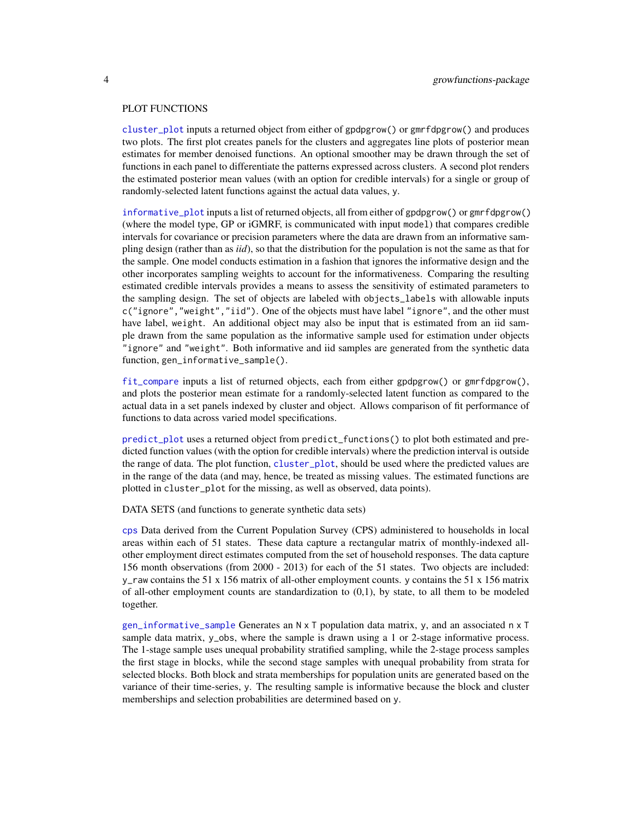#### <span id="page-3-0"></span>PLOT FUNCTIONS

[cluster\\_plot](#page-6-1) inputs a returned object from either of gpdpgrow() or gmrfdpgrow() and produces two plots. The first plot creates panels for the clusters and aggregates line plots of posterior mean estimates for member denoised functions. An optional smoother may be drawn through the set of functions in each panel to differentiate the patterns expressed across clusters. A second plot renders the estimated posterior mean values (with an option for credible intervals) for a single or group of randomly-selected latent functions against the actual data values, y.

[informative\\_plot](#page-38-1) inputs a list of returned objects, all from either of gpdpgrow() or gmrfdpgrow() (where the model type, GP or iGMRF, is communicated with input model) that compares credible intervals for covariance or precision parameters where the data are drawn from an informative sampling design (rather than as *iid*), so that the distribution for the population is not the same as that for the sample. One model conducts estimation in a fashion that ignores the informative design and the other incorporates sampling weights to account for the informativeness. Comparing the resulting estimated credible intervals provides a means to assess the sensitivity of estimated parameters to the sampling design. The set of objects are labeled with objects\_labels with allowable inputs c("ignore","weight","iid"). One of the objects must have label "ignore", and the other must have label, weight. An additional object may also be input that is estimated from an iid sample drawn from the same population as the informative sample used for estimation under objects "ignore" and "weight". Both informative and iid samples are generated from the synthetic data function, gen\_informative\_sample().

[fit\\_compare](#page-9-1) inputs a list of returned objects, each from either gpdpgrow() or gmrfdpgrow(), and plots the posterior mean estimate for a randomly-selected latent function as compared to the actual data in a set panels indexed by cluster and object. Allows comparison of fit performance of functions to data across varied model specifications.

[predict\\_plot](#page-50-1) uses a returned object from predict\_functions() to plot both estimated and predicted function values (with the option for credible intervals) where the prediction interval is outside the range of data. The plot function, [cluster\\_plot](#page-6-1), should be used where the predicted values are in the range of the data (and may, hence, be treated as missing values. The estimated functions are plotted in cluster\_plot for the missing, as well as observed, data points).

DATA SETS (and functions to generate synthetic data sets)

[cps](#page-8-1) Data derived from the Current Population Survey (CPS) administered to households in local areas within each of 51 states. These data capture a rectangular matrix of monthly-indexed allother employment direct estimates computed from the set of household responses. The data capture 156 month observations (from 2000 - 2013) for each of the 51 states. Two objects are included: y\_raw contains the 51 x 156 matrix of all-other employment counts. y contains the 51 x 156 matrix of all-other employment counts are standardization to  $(0,1)$ , by state, to all them to be modeled together.

[gen\\_informative\\_sample](#page-11-1) Generates an N x T population data matrix, y, and an associated n x T sample data matrix, y\_obs, where the sample is drawn using a 1 or 2-stage informative process. The 1-stage sample uses unequal probability stratified sampling, while the 2-stage process samples the first stage in blocks, while the second stage samples with unequal probability from strata for selected blocks. Both block and strata memberships for population units are generated based on the variance of their time-series, y. The resulting sample is informative because the block and cluster memberships and selection probabilities are determined based on y.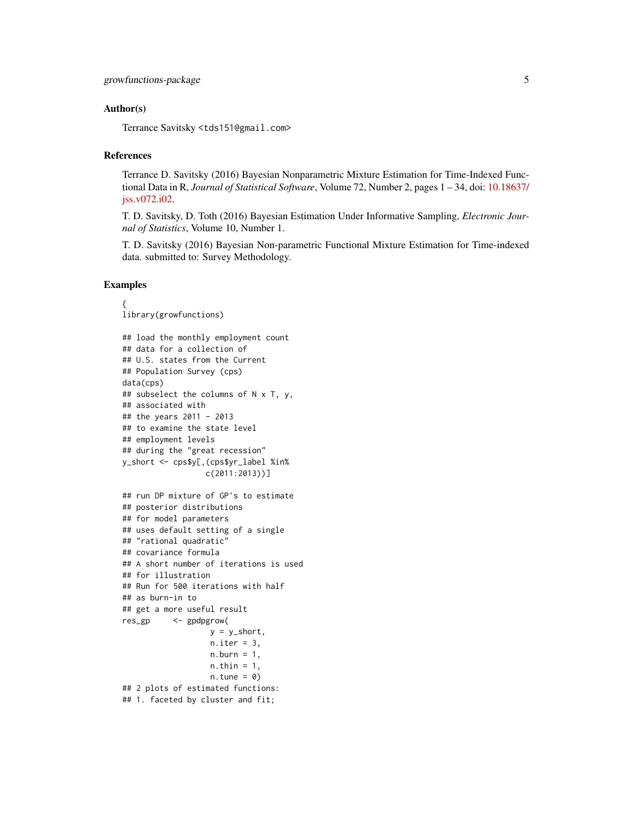#### Author(s)

Terrance Savitsky <tds151@gmail.com>

#### References

Terrance D. Savitsky (2016) Bayesian Nonparametric Mixture Estimation for Time-Indexed Functional Data in R, *Journal of Statistical Software*, Volume 72, Number 2, pages 1 – 34, doi: [10.18637/](https://doi.org/10.18637/jss.v072.i02) [jss.v072.i02.](https://doi.org/10.18637/jss.v072.i02)

T. D. Savitsky, D. Toth (2016) Bayesian Estimation Under Informative Sampling, *Electronic Journal of Statistics*, Volume 10, Number 1.

T. D. Savitsky (2016) Bayesian Non-parametric Functional Mixture Estimation for Time-indexed data. submitted to: Survey Methodology.

#### Examples

```
{
library(growfunctions)
## load the monthly employment count
## data for a collection of
## U.S. states from the Current
## Population Survey (cps)
data(cps)
## subselect the columns of N x T, y,
## associated with
## the years 2011 - 2013
## to examine the state level
## employment levels
## during the "great recession"
y_short <- cps$y[,(cps$yr_label %in%
                  c(2011:2013))]
## run DP mixture of GP's to estimate
## posterior distributions
## for model parameters
## uses default setting of a single
## "rational quadratic"
## covariance formula
## A short number of iterations is used
## for illustration
## Run for 500 iterations with half
## as burn-in to
## get a more useful result
res_gp <- gpdpgrow(
                   y = y_{short},
                   n.iter = 3,
                   n.burn = 1,
                   n.thin = 1,
                   n.tune = 0)## 2 plots of estimated functions:
## 1. faceted by cluster and fit;
```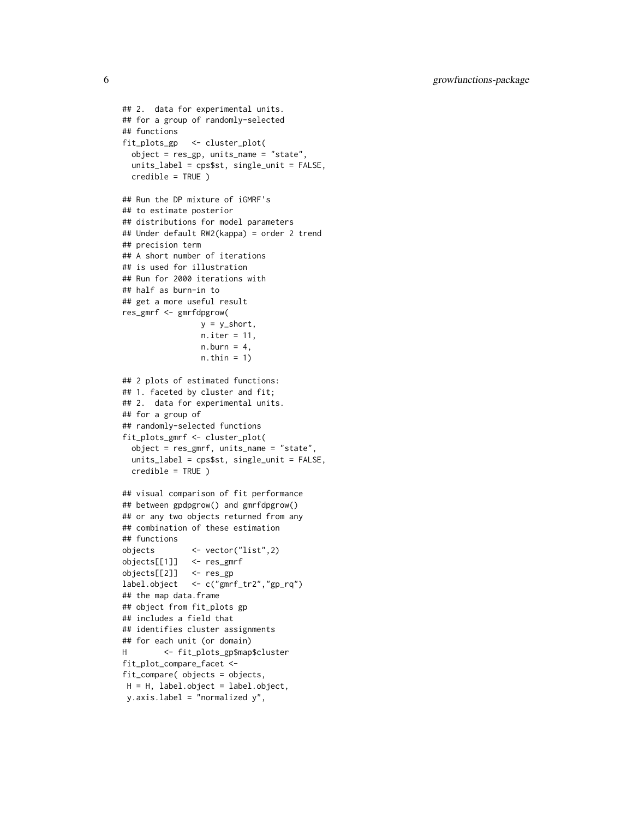6 growfunctions-package

```
## 2. data for experimental units.
## for a group of randomly-selected
## functions
fit_plots_gp <- cluster_plot(
  object = res_gp, units_name = "state",
  units_label = cps$st, single_unit = FALSE,
  credible = TRUE )
## Run the DP mixture of iGMRF's
## to estimate posterior
## distributions for model parameters
## Under default RW2(kappa) = order 2 trend
## precision term
## A short number of iterations
## is used for illustration
## Run for 2000 iterations with
## half as burn-in to
## get a more useful result
res_gmrf <- gmrfdpgrow(
                 y = y_short,
                 n.iter = 11,
                 n.burn = 4,
                 n.thin = 1)
## 2 plots of estimated functions:
## 1. faceted by cluster and fit;
## 2. data for experimental units.
## for a group of
## randomly-selected functions
fit_plots_gmrf <- cluster_plot(
  object = res_gmrf, units_name = "state",
  units_label = cps$st, single_unit = FALSE,
  credible = TRUE )
## visual comparison of fit performance
## between gpdpgrow() and gmrfdpgrow()
## or any two objects returned from any
## combination of these estimation
## functions
objects <- vector("list",2)
objects[[1]] <- res_gmrf
objects[[2]] <- res_gp
label.object <- c("gmrf_tr2","gp_rq")
## the map data.frame
## object from fit_plots gp
## includes a field that
## identifies cluster assignments
## for each unit (or domain)
H <- fit_plots_gp$map$cluster
fit_plot_compare_facet <-
fit_compare( objects = objects,
 H = H, label.object = label.object,
 y.axis.label = "normalized y",
```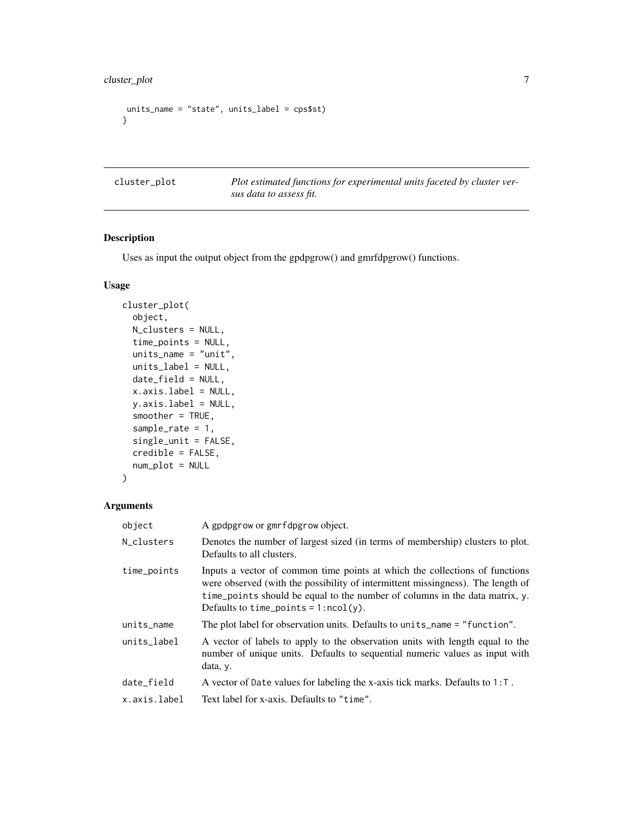```
units_name = "state", units_label = cps$st)
}
```
<span id="page-6-1"></span>cluster\_plot *Plot estimated functions for experimental units faceted by cluster versus data to assess fit.*

### Description

Uses as input the output object from the gpdpgrow() and gmrfdpgrow() functions.

#### Usage

```
cluster_plot(
  object,
 N_clusters = NULL,
  time_points = NULL,
  units_name = "unit",
  units_label = NULL,
  date_field = NULL,
  x.axis.label = NULL,
  y.axis.label = NULL,
  smoother = TRUE,
  sample_rate = 1,
  single_unit = FALSE,
  credible = FALSE,
 num_plot = NULL
)
```
#### Arguments

| object       | A gpdpgrow or gmrfdpgrow object.                                                                                                                                                                                                                                                         |
|--------------|------------------------------------------------------------------------------------------------------------------------------------------------------------------------------------------------------------------------------------------------------------------------------------------|
| N_clusters   | Denotes the number of largest sized (in terms of membership) clusters to plot.<br>Defaults to all clusters.                                                                                                                                                                              |
| time_points  | Inputs a vector of common time points at which the collections of functions<br>were observed (with the possibility of intermittent missingness). The length of<br>time_points should be equal to the number of columns in the data matrix, y.<br>Defaults to time_points = $1:ncol(y)$ . |
| units_name   | The plot label for observation units. Defaults to units_name = "function".                                                                                                                                                                                                               |
| units_label  | A vector of labels to apply to the observation units with length equal to the<br>number of unique units. Defaults to sequential numeric values as input with<br>data, y.                                                                                                                 |
| date_field   | A vector of Date values for labeling the x-axis tick marks. Defaults to $1: T$ .                                                                                                                                                                                                         |
| x.axis.label | Text label for x-axis. Defaults to "time".                                                                                                                                                                                                                                               |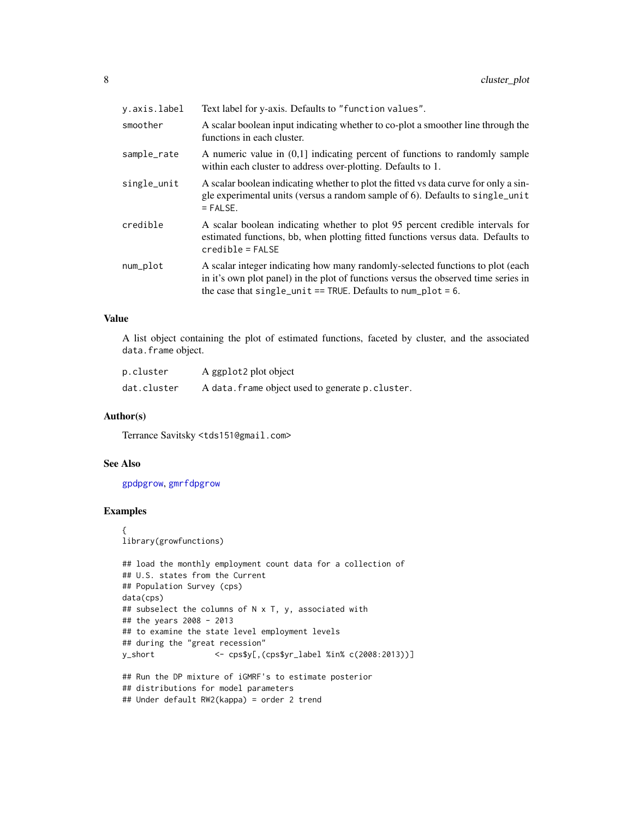<span id="page-7-0"></span>

| y.axis.label | Text label for y-axis. Defaults to "function values".                                                                                                                                                                                    |
|--------------|------------------------------------------------------------------------------------------------------------------------------------------------------------------------------------------------------------------------------------------|
| smoother     | A scalar boolean input indicating whether to co-plot a smoother line through the<br>functions in each cluster.                                                                                                                           |
| sample_rate  | A numeric value in $(0,1]$ indicating percent of functions to randomly sample<br>within each cluster to address over-plotting. Defaults to 1.                                                                                            |
| single_unit  | A scalar boolean indicating whether to plot the fitted vs data curve for only a sin-<br>gle experimental units (versus a random sample of 6). Defaults to single_unit<br>$=$ FALSE.                                                      |
| credible     | A scalar boolean indicating whether to plot 95 percent credible intervals for<br>estimated functions, bb, when plotting fitted functions versus data. Defaults to<br>$credible = FALSE$                                                  |
| num_plot     | A scalar integer indicating how many randomly-selected functions to plot (each<br>in it's own plot panel) in the plot of functions versus the observed time series in<br>the case that single_unit == TRUE. Defaults to num_plot = $6$ . |

#### Value

A list object containing the plot of estimated functions, faceted by cluster, and the associated data.frame object.

| p.cluster   | A ggplot2 plot object                             |
|-------------|---------------------------------------------------|
| dat.cluster | A data. frame object used to generate p. cluster. |

#### Author(s)

Terrance Savitsky <tds151@gmail.com>

#### See Also

[gpdpgrow](#page-28-1), [gmrfdpgrow](#page-17-1)

#### Examples

```
{
library(growfunctions)
```

```
## load the monthly employment count data for a collection of
## U.S. states from the Current
## Population Survey (cps)
data(cps)
## subselect the columns of N x T, y, associated with
## the years 2008 - 2013
## to examine the state level employment levels
## during the "great recession"
y_short <- cps$y[,(cps$yr_label %in% c(2008:2013))]
## Run the DP mixture of iGMRF's to estimate posterior
## distributions for model parameters
## Under default RW2(kappa) = order 2 trend
```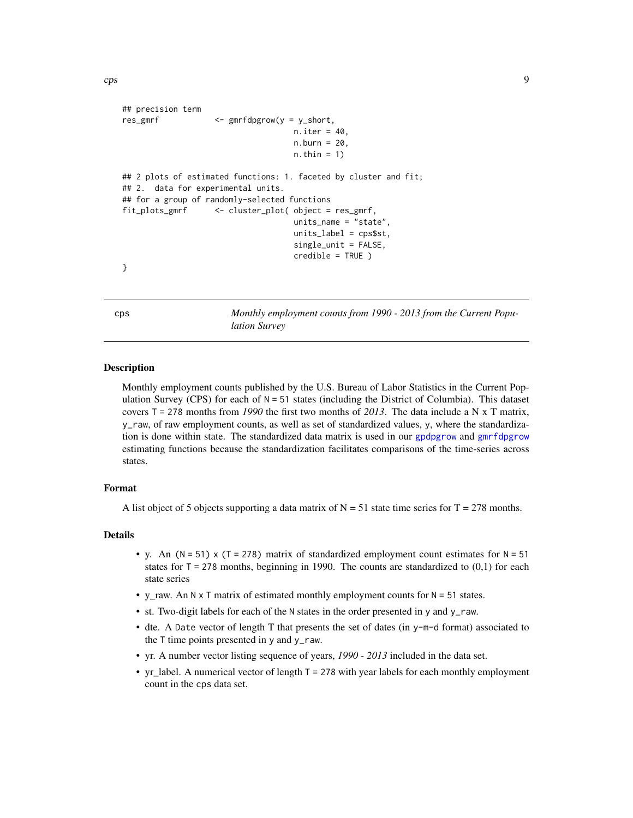```
## precision term
res_gmrf <- gmrfdpgrow(y = y_short,
                                    n.iter = 40,n.burn = 20,
                                    n.thin = 1)
## 2 plots of estimated functions: 1. faceted by cluster and fit;
## 2. data for experimental units.
## for a group of randomly-selected functions
fit_plots_gmrf <- cluster_plot( object = res_gmrf,
                                    units_name = "state",
                                    units\_label = cps$st,
                                    single_unit = FALSE,
                                    credible = TRUE )
}
```
<span id="page-8-1"></span>cps *Monthly employment counts from 1990 - 2013 from the Current Population Survey*

#### Description

Monthly employment counts published by the U.S. Bureau of Labor Statistics in the Current Population Survey (CPS) for each of  $N = 51$  states (including the District of Columbia). This dataset covers T = 278 months from *1990* the first two months of *2013*. The data include a N x T matrix, y\_raw, of raw employment counts, as well as set of standardized values, y, where the standardization is done within state. The standardized data matrix is used in our [gpdpgrow](#page-28-1) and [gmrfdpgrow](#page-17-1) estimating functions because the standardization facilitates comparisons of the time-series across states.

#### Format

A list object of 5 objects supporting a data matrix of  $N = 51$  state time series for  $T = 278$  months.

#### Details

- y. An ( $N = 51$ ) x (T = 278) matrix of standardized employment count estimates for  $N = 51$ states for  $T = 278$  months, beginning in 1990. The counts are standardized to  $(0,1)$  for each state series
- y\_raw. An  $N \times T$  matrix of estimated monthly employment counts for  $N = 51$  states.
- st. Two-digit labels for each of the N states in the order presented in y and y\_raw.
- dte. A Date vector of length T that presents the set of dates (in y-m-d format) associated to the T time points presented in y and y\_raw.
- yr. A number vector listing sequence of years, *1990 2013* included in the data set.
- yr\_label. A numerical vector of length T = 278 with year labels for each monthly employment count in the cps data set.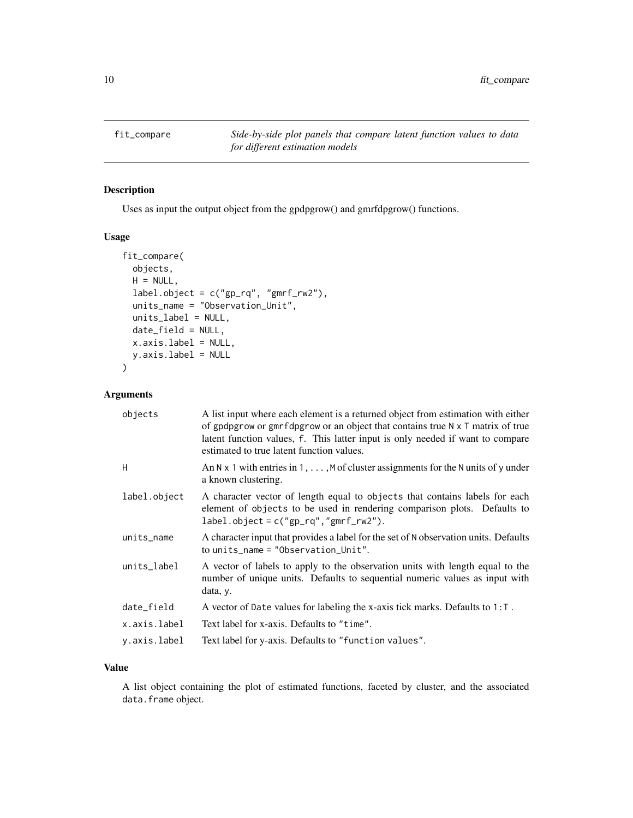<span id="page-9-1"></span><span id="page-9-0"></span>fit\_compare *Side-by-side plot panels that compare latent function values to data for different estimation models*

#### Description

Uses as input the output object from the gpdpgrow() and gmrfdpgrow() functions.

#### Usage

```
fit_compare(
  objects,
 H = NULL,label.object = c("gp_rq", "gmrf_rw2"),
  units_name = "Observation_Unit",
 units_label = NULL,
  date_field = NULL,
 x.axis.label = NULL,
  y.axis.label = NULL
)
```
#### Arguments

| objects      | A list input where each element is a returned object from estimation with either<br>of gpdpgrow or gmrfdpgrow or an object that contains true $N \times T$ matrix of true<br>latent function values, f. This latter input is only needed if want to compare<br>estimated to true latent function values. |
|--------------|----------------------------------------------------------------------------------------------------------------------------------------------------------------------------------------------------------------------------------------------------------------------------------------------------------|
| H            | An N x 1 with entries in 1, $\dots$ , M of cluster assignments for the N units of y under<br>a known clustering.                                                                                                                                                                                         |
| label.object | A character vector of length equal to objects that contains labels for each<br>element of objects to be used in rendering comparison plots. Defaults to<br>$label. object = c("gp_rq", "gmrf_rw2").$                                                                                                     |
| units_name   | A character input that provides a label for the set of N observation units. Defaults<br>to units_name = $"Observation$ Unit".                                                                                                                                                                            |
| units_label  | A vector of labels to apply to the observation units with length equal to the<br>number of unique units. Defaults to sequential numeric values as input with<br>data, y.                                                                                                                                 |
| date_field   | A vector of Date values for labeling the x-axis tick marks. Defaults to $1: T$ .                                                                                                                                                                                                                         |
| x.axis.label | Text label for x-axis. Defaults to "time".                                                                                                                                                                                                                                                               |
| y.axis.label | Text label for y-axis. Defaults to "function values".                                                                                                                                                                                                                                                    |
|              |                                                                                                                                                                                                                                                                                                          |

#### Value

A list object containing the plot of estimated functions, faceted by cluster, and the associated data.frame object.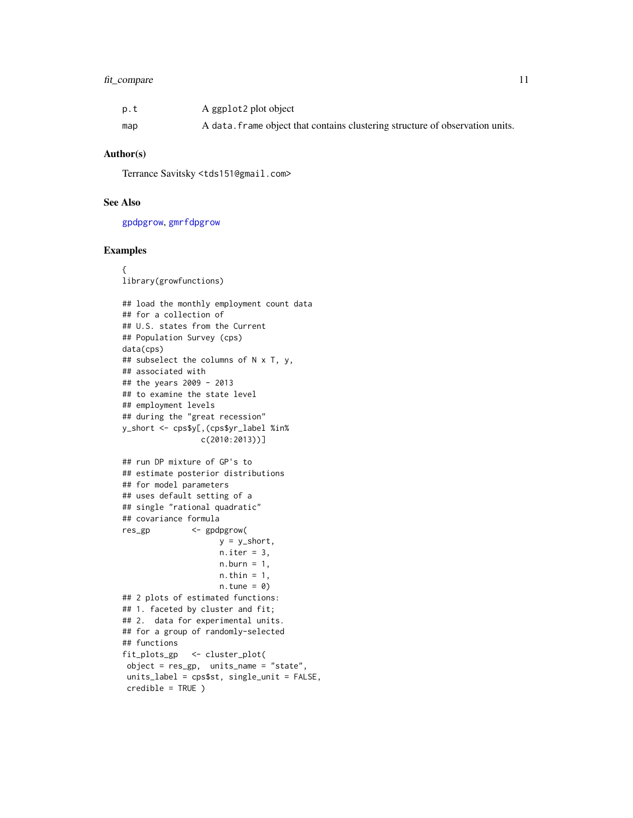#### <span id="page-10-0"></span>fit\_compare 11

| p.t | A ggplot2 plot object                                                         |
|-----|-------------------------------------------------------------------------------|
| map | A data, frame object that contains clustering structure of observation units. |

#### Author(s)

Terrance Savitsky <tds151@gmail.com>

#### See Also

[gpdpgrow](#page-28-1), [gmrfdpgrow](#page-17-1)

#### Examples

```
{
library(growfunctions)
## load the monthly employment count data
## for a collection of
## U.S. states from the Current
## Population Survey (cps)
data(cps)
## subselect the columns of N x T, y,
## associated with
## the years 2009 - 2013
## to examine the state level
## employment levels
## during the "great recession"
y_short <- cps$y[,(cps$yr_label %in%
                 c(2010:2013))]
## run DP mixture of GP's to
## estimate posterior distributions
## for model parameters
## uses default setting of a
## single "rational quadratic"
## covariance formula
res_gp <- gpdpgrow(
                    y = y_short,
                    n.iter = 3,
                    n.burn = 1,
                    n.thin = 1,
                    n.tune = 0)
## 2 plots of estimated functions:
## 1. faceted by cluster and fit;
## 2. data for experimental units.
## for a group of randomly-selected
## functions
fit_plots_gp <- cluster_plot(
 object = res_gp, units_name = "state",
 units_label = cps$st, single_unit = FALSE,
 credible = TRUE )
```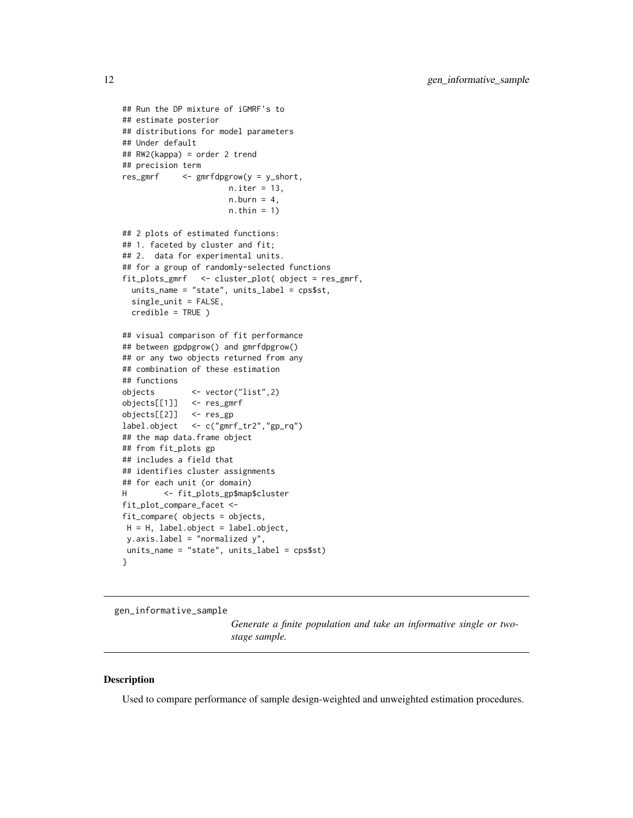```
## Run the DP mixture of iGMRF's to
## estimate posterior
## distributions for model parameters
## Under default
## RW2(kappa) = order 2 trend
## precision term
res_gmrf <- gmrfdpgrow(y = y_short,
                      n.iter = 13,
                      n.burn = 4,
                      n.thin = 1)
## 2 plots of estimated functions:
## 1. faceted by cluster and fit;
## 2. data for experimental units.
## for a group of randomly-selected functions
fit_plots_gmrf <- cluster_plot( object = res_gmrf,
 units_name = "state", units_label = cps$st,
 single_unit = FALSE,
 credible = TRUE )
## visual comparison of fit performance
## between gpdpgrow() and gmrfdpgrow()
## or any two objects returned from any
## combination of these estimation
## functions
objects <- vector("list",2)
objects[[1]] <- res_gmrf
objects[[2]] <- res_gp
label.object <- c("gmrf_tr2","gp_rq")
## the map data.frame object
## from fit_plots gp
## includes a field that
## identifies cluster assignments
## for each unit (or domain)
H <- fit_plots_gp$map$cluster
fit_plot_compare_facet <-
fit_compare( objects = objects,
H = H, label.object = label.object,
y.axis.label = "normalized y",
units_name = "state", units_label = cps$st)
}
```
<span id="page-11-1"></span>gen\_informative\_sample

*Generate a finite population and take an informative single or twostage sample.*

#### Description

Used to compare performance of sample design-weighted and unweighted estimation procedures.

<span id="page-11-0"></span>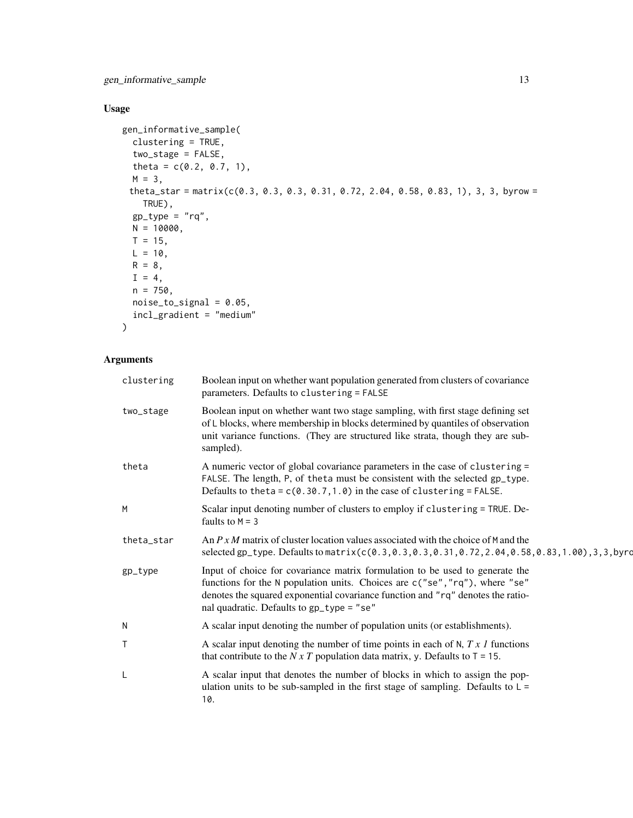## Usage

```
gen_informative_sample(
 clustering = TRUE,
 two_stage = FALSE,
 theta = c(0.2, 0.7, 1),
 M = 3,
 theta_star = matrix(c(0.3, 0.3, 0.3, 0.31, 0.72, 2.04, 0.58, 0.83, 1), 3, 3, byrow =
   TRUE),
 gp_type = "rq",N = 10000,T = 15,
 L = 10,
 R = 8,I = 4,n = 750,noise_to_signal = 0.05,
 incl_gradient = "medium"
)
```
## Arguments

| clustering | Boolean input on whether want population generated from clusters of covariance<br>parameters. Defaults to clustering = FALSE                                                                                                                                                                |
|------------|---------------------------------------------------------------------------------------------------------------------------------------------------------------------------------------------------------------------------------------------------------------------------------------------|
| two_stage  | Boolean input on whether want two stage sampling, with first stage defining set<br>of L blocks, where membership in blocks determined by quantiles of observation<br>unit variance functions. (They are structured like strata, though they are sub-<br>sampled).                           |
| theta      | A numeric vector of global covariance parameters in the case of clustering =<br>FALSE. The length, P, of theta must be consistent with the selected gp_type.<br>Defaults to the ta = $c(0.30.7, 1.0)$ in the case of clustering = FALSE.                                                    |
| M          | Scalar input denoting number of clusters to employ if clustering = TRUE. De-<br>faults to $M = 3$                                                                                                                                                                                           |
| theta_star | An $P x M$ matrix of cluster location values associated with the choice of M and the<br>selected gp_type. Defaults to matrix (c(0.3,0.3,0.3,0.31,0.72,2.04,0.58,0.83,1.00),3,3,byrd                                                                                                         |
| gp_type    | Input of choice for covariance matrix formulation to be used to generate the<br>functions for the N population units. Choices are c("se", "rq"), where "se"<br>denotes the squared exponential covariance function and "rq" denotes the ratio-<br>nal quadratic. Defaults to gp_type = "se" |
| N          | A scalar input denoting the number of population units (or establishments).                                                                                                                                                                                                                 |
| Τ          | A scalar input denoting the number of time points in each of $N$ , $Tx$ $I$ functions<br>that contribute to the N x T population data matrix, y. Defaults to $T = 15$ .                                                                                                                     |
| L          | A scalar input that denotes the number of blocks in which to assign the pop-<br>ulation units to be sub-sampled in the first stage of sampling. Defaults to $L =$<br>10.                                                                                                                    |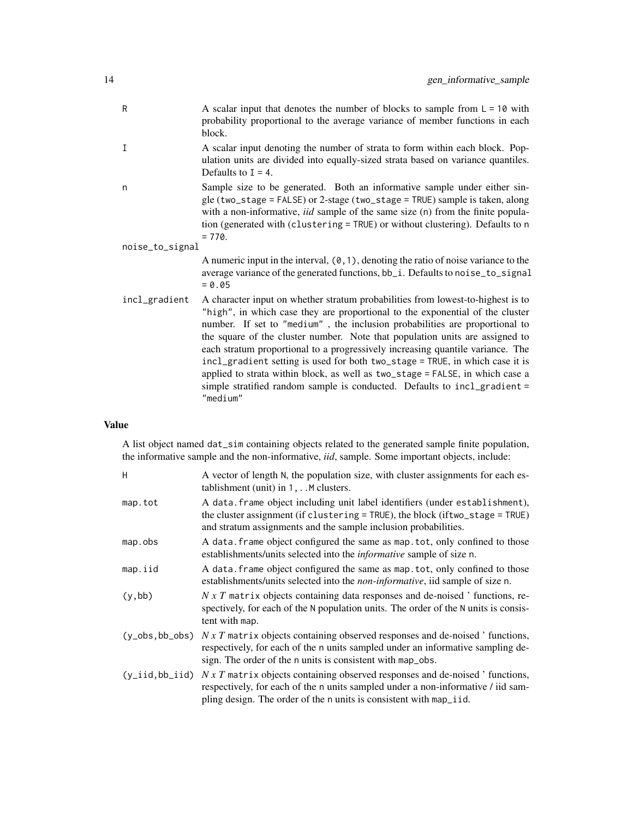| R               | A scalar input that denotes the number of blocks to sample from $L = 10$ with<br>probability proportional to the average variance of member functions in each<br>block.                                                                                                                                                                                                                                                                                                                                                                                                                                                                                                     |
|-----------------|-----------------------------------------------------------------------------------------------------------------------------------------------------------------------------------------------------------------------------------------------------------------------------------------------------------------------------------------------------------------------------------------------------------------------------------------------------------------------------------------------------------------------------------------------------------------------------------------------------------------------------------------------------------------------------|
| I               | A scalar input denoting the number of strata to form within each block. Pop-<br>ulation units are divided into equally-sized strata based on variance quantiles.<br>Defaults to $I = 4$ .                                                                                                                                                                                                                                                                                                                                                                                                                                                                                   |
| n               | Sample size to be generated. Both an informative sample under either sin-<br>gle (two_stage = FALSE) or 2-stage (two_stage = TRUE) sample is taken, along<br>with a non-informative, <i>iid</i> sample of the same size (n) from the finite popula-<br>tion (generated with (clustering = TRUE) or without clustering). Defaults to n<br>$= 770.$                                                                                                                                                                                                                                                                                                                           |
| noise_to_signal |                                                                                                                                                                                                                                                                                                                                                                                                                                                                                                                                                                                                                                                                             |
|                 | A numeric input in the interval, $(0, 1)$ , denoting the ratio of noise variance to the<br>average variance of the generated functions, bb_i. Defaults to noise_to_signal<br>$= 0.05$                                                                                                                                                                                                                                                                                                                                                                                                                                                                                       |
| incl_gradient   | A character input on whether stratum probabilities from lowest-to-highest is to<br>"high", in which case they are proportional to the exponential of the cluster<br>number. If set to "medium", the inclusion probabilities are proportional to<br>the square of the cluster number. Note that population units are assigned to<br>each stratum proportional to a progressively increasing quantile variance. The<br>incl_gradient setting is used for both two_stage = TRUE, in which case it is<br>applied to strata within block, as well as two_stage = FALSE, in which case a<br>simple stratified random sample is conducted. Defaults to incl_gradient =<br>"medium" |

## Value

A list object named dat\_sim containing objects related to the generated sample finite population, the informative sample and the non-informative, *iid*, sample. Some important objects, include:

| H                   | A vector of length N, the population size, with cluster assignments for each es-<br>tablishment (unit) in $1, \ldots$ M clusters.                                                                                                 |
|---------------------|-----------------------------------------------------------------------------------------------------------------------------------------------------------------------------------------------------------------------------------|
| map.tot             | A data. frame object including unit label identifiers (under establishment),<br>the cluster assignment (if clustering = TRUE), the block (if two_stage = TRUE)<br>and stratum assignments and the sample inclusion probabilities. |
| map.obs             | A data. frame object configured the same as map. tot, only confined to those<br>establishments/units selected into the <i>informative</i> sample of size n.                                                                       |
| map.iid             | A data frame object configured the same as map tot, only confined to those<br>establishments/units selected into the <i>non-informative</i> , iid sample of size n.                                                               |
| (y, bb)             | $N \times T$ matrix objects containing data responses and de-noised ' functions, re-<br>spectively, for each of the N population units. The order of the N units is consis-<br>tent with map.                                     |
| $(y_obs, bb_obs)$   | $N x T$ matrix objects containing observed responses and de-noised 'functions,<br>respectively, for each of the n units sampled under an informative sampling de-<br>sign. The order of the n units is consistent with map_obs.   |
| $(y\_iid, bb\_iid)$ | $N x T$ matrix objects containing observed responses and de-noised ' functions,<br>respectively, for each of the n units sampled under a non-informative / iid sam-                                                               |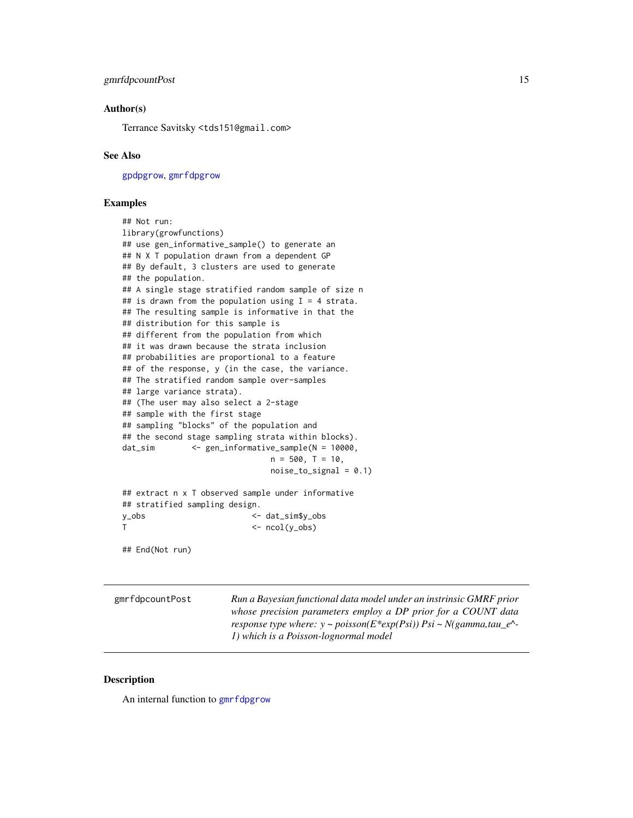## <span id="page-14-0"></span>gmrfdpcountPost 15

#### Author(s)

Terrance Savitsky <tds151@gmail.com>

#### See Also

[gpdpgrow](#page-28-1), [gmrfdpgrow](#page-17-1)

#### Examples

```
## Not run:
library(growfunctions)
## use gen_informative_sample() to generate an
## N X T population drawn from a dependent GP
## By default, 3 clusters are used to generate
## the population.
## A single stage stratified random sample of size n
## is drawn from the population using I = 4 strata.
## The resulting sample is informative in that the
## distribution for this sample is
## different from the population from which
## it was drawn because the strata inclusion
## probabilities are proportional to a feature
## of the response, y (in the case, the variance.
## The stratified random sample over-samples
## large variance strata).
## (The user may also select a 2-stage
## sample with the first stage
## sampling "blocks" of the population and
## the second stage sampling strata within blocks).
dat_sim <- gen_informative_sample(N = 10000,
                              n = 500, T = 10,noise_to_signal = 0.1)
## extract n x T observed sample under informative
## stratified sampling design.
y_obs <- dat_sim$y_obs
T <- ncol(y_obs)
```
## End(Not run)

| gmrfdpcountPost | Run a Bayesian functional data model under an instrinsic GMRF prior                  |
|-----------------|--------------------------------------------------------------------------------------|
|                 | whose precision parameters employ a DP prior for a COUNT data                        |
|                 | response type where: $y \sim poisson(E^*exp(Psi)) Psi \sim N(gamma, tau_e^{\wedge})$ |
|                 | 1) which is a Poisson-lognormal model                                                |

## Description

An internal function to [gmrfdpgrow](#page-17-1)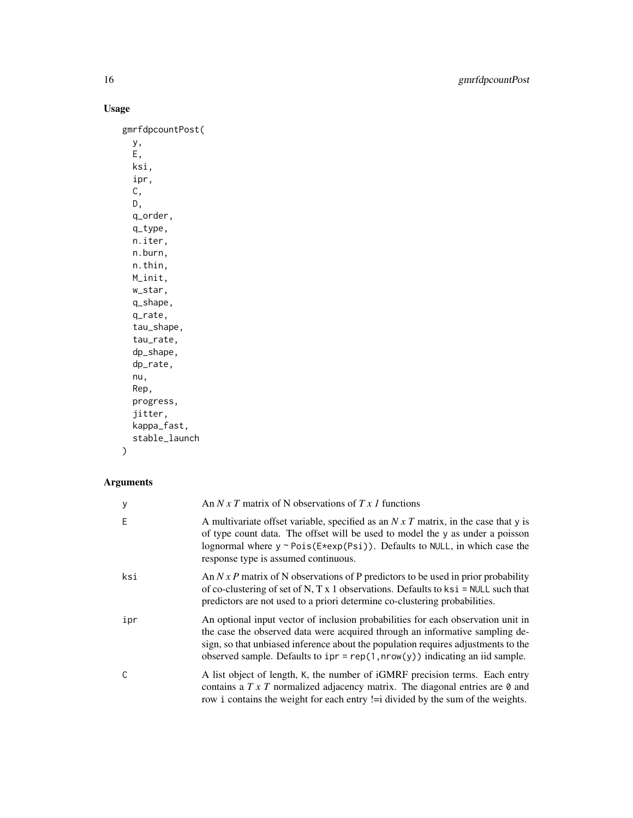## Usage

gmrfdpcountPost( y, E, ksi, ipr, C, D, q\_order, q\_type, n.iter, n.burn, n.thin, M\_init, w\_star, q\_shape, q\_rate, tau\_shape, tau\_rate, dp\_shape, dp\_rate, nu, Rep, progress, jitter, kappa\_fast, stable\_launch

## $\mathcal{L}$

## Arguments

| y   | An N x T matrix of N observations of T x 1 functions                                                                                                                                                                                                                                                                                    |
|-----|-----------------------------------------------------------------------------------------------------------------------------------------------------------------------------------------------------------------------------------------------------------------------------------------------------------------------------------------|
| Ε   | A multivariate offset variable, specified as an $N x T$ matrix, in the case that y is<br>of type count data. The offset will be used to model the y as under a poisson<br>lognormal where $y \sim \text{Pois}(E \neq \exp(\text{Psi}))$ . Defaults to NULL, in which case the<br>response type is assumed continuous.                   |
| ksi | An $N x P$ matrix of N observations of P predictors to be used in prior probability<br>of co-clustering of set of N, T x 1 observations. Defaults to $ksi$ = NULL such that<br>predictors are not used to a priori determine co-clustering probabilities.                                                                               |
| ipr | An optional input vector of inclusion probabilities for each observation unit in<br>the case the observed data were acquired through an informative sampling de-<br>sign, so that unbiased inference about the population requires adjustments to the<br>observed sample. Defaults to $ipr = rep(1, nrow(y))$ indicating an iid sample. |
| C   | A list object of length, K, the number of iGMRF precision terms. Each entry<br>contains a $T \times T$ normalized adjacency matrix. The diagonal entries are $\theta$ and<br>row i contains the weight for each entry != i divided by the sum of the weights.                                                                           |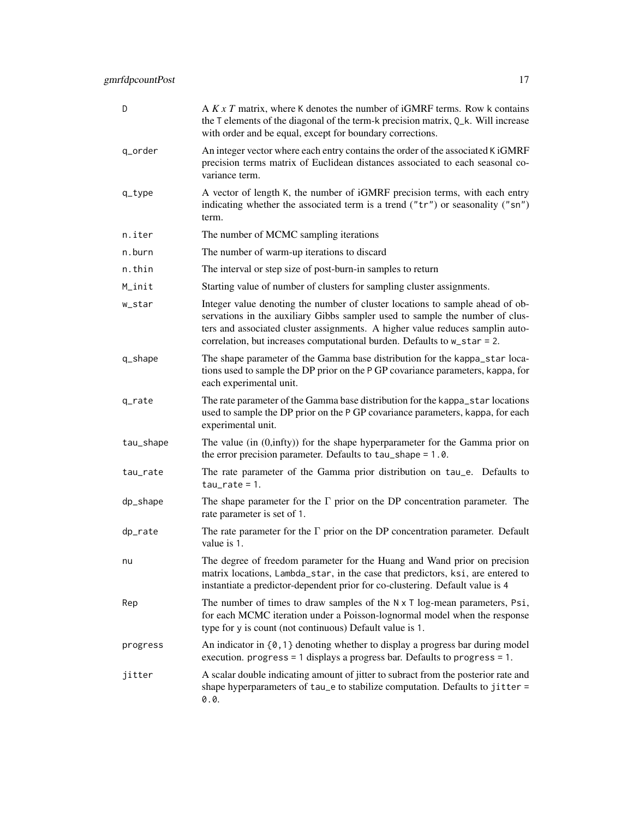| D         | A $K \times T$ matrix, where K denotes the number of iGMRF terms. Row k contains<br>the T elements of the diagonal of the term-k precision matrix, Q_k. Will increase<br>with order and be equal, except for boundary corrections.                                                                                         |
|-----------|----------------------------------------------------------------------------------------------------------------------------------------------------------------------------------------------------------------------------------------------------------------------------------------------------------------------------|
| q_order   | An integer vector where each entry contains the order of the associated K iGMRF<br>precision terms matrix of Euclidean distances associated to each seasonal co-<br>variance term.                                                                                                                                         |
| $q_t$     | A vector of length K, the number of iGMRF precision terms, with each entry<br>indicating whether the associated term is a trend ("tr") or seasonality ("sn")<br>term.                                                                                                                                                      |
| n.iter    | The number of MCMC sampling iterations                                                                                                                                                                                                                                                                                     |
| n.burn    | The number of warm-up iterations to discard                                                                                                                                                                                                                                                                                |
| n.thin    | The interval or step size of post-burn-in samples to return                                                                                                                                                                                                                                                                |
| M_init    | Starting value of number of clusters for sampling cluster assignments.                                                                                                                                                                                                                                                     |
| w_star    | Integer value denoting the number of cluster locations to sample ahead of ob-<br>servations in the auxiliary Gibbs sampler used to sample the number of clus-<br>ters and associated cluster assignments. A higher value reduces samplin auto-<br>correlation, but increases computational burden. Defaults to w_star = 2. |
| q_shape   | The shape parameter of the Gamma base distribution for the kappa_star loca-<br>tions used to sample the DP prior on the P GP covariance parameters, kappa, for<br>each experimental unit.                                                                                                                                  |
| q_rate    | The rate parameter of the Gamma base distribution for the kappa_star locations<br>used to sample the DP prior on the P GP covariance parameters, kappa, for each<br>experimental unit.                                                                                                                                     |
| tau_shape | The value (in $(0, \text{infty}))$ for the shape hyperparameter for the Gamma prior on<br>the error precision parameter. Defaults to tau_shape = 1.0.                                                                                                                                                                      |
| tau_rate  | The rate parameter of the Gamma prior distribution on tau_e. Defaults to<br>$tau$ -rate = 1.                                                                                                                                                                                                                               |
| dp_shape  | The shape parameter for the $\Gamma$ prior on the DP concentration parameter. The<br>rate parameter is set of 1.                                                                                                                                                                                                           |
| dp_rate   | The rate parameter for the $\Gamma$ prior on the DP concentration parameter. Default<br>value is 1.                                                                                                                                                                                                                        |
| nu        | The degree of freedom parameter for the Huang and Wand prior on precision<br>matrix locations, Lambda_star, in the case that predictors, ksi, are entered to<br>instantiate a predictor-dependent prior for co-clustering. Default value is 4                                                                              |
| Rep       | The number of times to draw samples of the $N \times T$ log-mean parameters, Psi,<br>for each MCMC iteration under a Poisson-lognormal model when the response<br>type for y is count (not continuous) Default value is 1.                                                                                                 |
| progress  | An indicator in $\{0, 1\}$ denoting whether to display a progress bar during model<br>execution. progress = 1 displays a progress bar. Defaults to progress = $1$ .                                                                                                                                                        |
| jitter    | A scalar double indicating amount of jitter to subract from the posterior rate and<br>shape hyperparameters of tau_e to stabilize computation. Defaults to jitter =<br>0.0.                                                                                                                                                |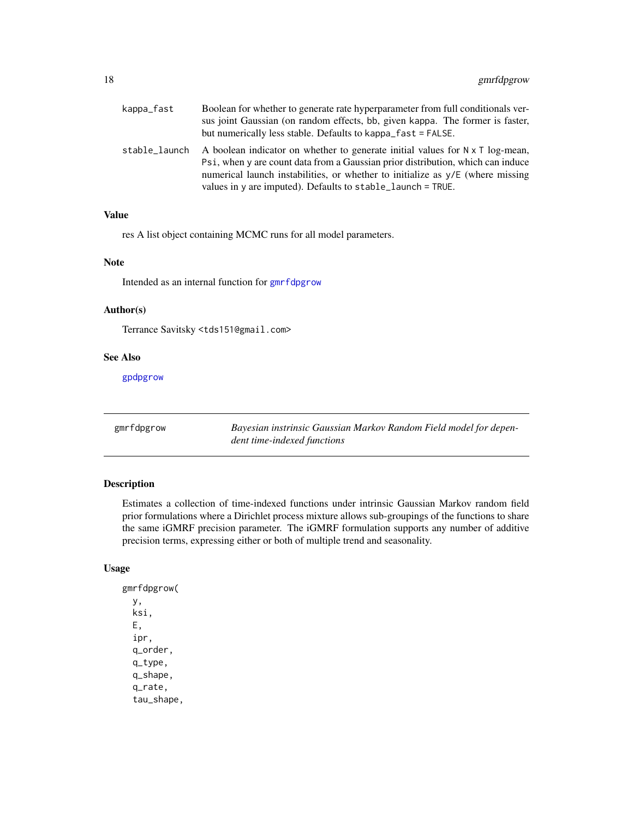<span id="page-17-0"></span>

| kappa_fast    | Boolean for whether to generate rate hyperparameter from full conditionals ver-<br>sus joint Gaussian (on random effects, bb, given kappa. The former is faster,<br>but numerically less stable. Defaults to kappa_fast = FALSE.                                                                                         |
|---------------|--------------------------------------------------------------------------------------------------------------------------------------------------------------------------------------------------------------------------------------------------------------------------------------------------------------------------|
| stable_launch | A boolean indicator on whether to generate initial values for $N \times T$ log-mean,<br>Psi, when y are count data from a Gaussian prior distribution, which can induce<br>numerical launch instabilities, or whether to initialize as y/E (where missing<br>values in y are imputed). Defaults to stable_launch = TRUE. |

#### Value

res A list object containing MCMC runs for all model parameters.

#### Note

Intended as an internal function for [gmrfdpgrow](#page-17-1)

#### Author(s)

Terrance Savitsky <tds151@gmail.com>

#### See Also

[gpdpgrow](#page-28-1)

<span id="page-17-1"></span>gmrfdpgrow *Bayesian instrinsic Gaussian Markov Random Field model for dependent time-indexed functions*

#### Description

Estimates a collection of time-indexed functions under intrinsic Gaussian Markov random field prior formulations where a Dirichlet process mixture allows sub-groupings of the functions to share the same iGMRF precision parameter. The iGMRF formulation supports any number of additive precision terms, expressing either or both of multiple trend and seasonality.

#### Usage

gmrfdpgrow( y, ksi, E, ipr, q\_order, q\_type, q\_shape, q\_rate, tau\_shape,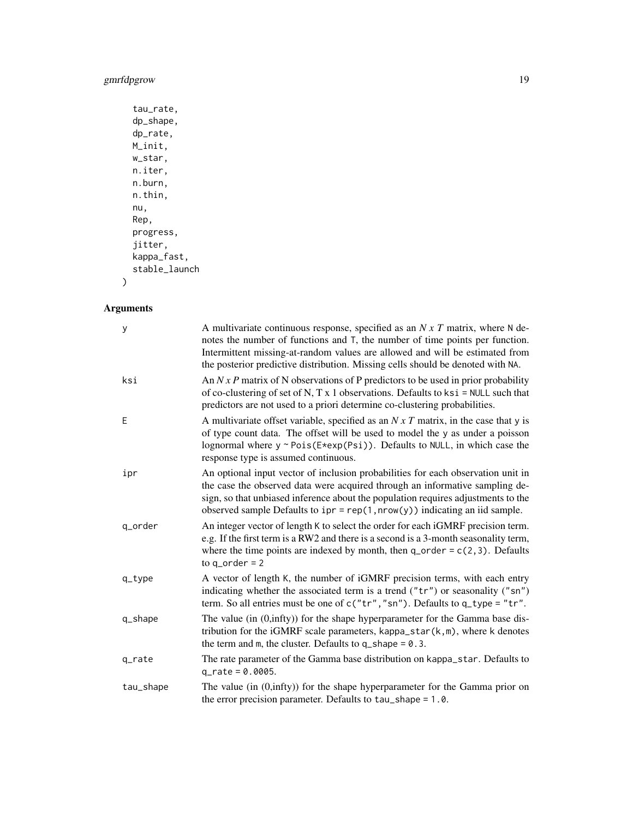## gmrfdpgrow 19

```
tau_rate,
dp_shape,
dp_rate,
M_init,
w_star,
n.iter,
n.burn,
n.thin,
nu,
Rep,
progress,
jitter,
kappa_fast,
stable_launch
```
## Arguments

 $\mathcal{L}$ 

| У         | A multivariate continuous response, specified as an $N x T$ matrix, where N de-<br>notes the number of functions and T, the number of time points per function.<br>Intermittent missing-at-random values are allowed and will be estimated from<br>the posterior predictive distribution. Missing cells should be denoted with NA.     |
|-----------|----------------------------------------------------------------------------------------------------------------------------------------------------------------------------------------------------------------------------------------------------------------------------------------------------------------------------------------|
| ksi       | An $N x P$ matrix of N observations of P predictors to be used in prior probability<br>of co-clustering of set of N, T x 1 observations. Defaults to $ksi$ = NULL such that<br>predictors are not used to a priori determine co-clustering probabilities.                                                                              |
| E         | A multivariate offset variable, specified as an $N \times T$ matrix, in the case that y is<br>of type count data. The offset will be used to model the y as under a poisson<br>lognormal where $y \sim \text{Pois}(E \neq \text{exp}(Psi))$ . Defaults to NULL, in which case the<br>response type is assumed continuous.              |
| ipr       | An optional input vector of inclusion probabilities for each observation unit in<br>the case the observed data were acquired through an informative sampling de-<br>sign, so that unbiased inference about the population requires adjustments to the<br>observed sample Defaults to $ipr = rep(1, nrow(y))$ indicating an iid sample. |
| q_order   | An integer vector of length K to select the order for each iGMRF precision term.<br>e.g. If the first term is a RW2 and there is a second is a 3-month seasonality term,<br>where the time points are indexed by month, then $q_{\text{o}}$ order = $c(2, 3)$ . Defaults<br>to $q_{\text{order}} = 2$                                  |
| $q_t$     | A vector of length K, the number of iGMRF precision terms, with each entry<br>indicating whether the associated term is a trend (" $tr$ ") or seasonality (" $sn$ ")<br>term. So all entries must be one of $c("tr", "sn")$ . Defaults to $q_type = "tr".$                                                                             |
| q_shape   | The value (in $(0, \text{infty}))$ for the shape hyperparameter for the Gamma base dis-<br>tribution for the iGMRF scale parameters, kappa_star $(k, m)$ , where k denotes<br>the term and m, the cluster. Defaults to $q$ -shape = 0.3.                                                                                               |
| q_rate    | The rate parameter of the Gamma base distribution on kappa_star. Defaults to<br>$q_{rate} = 0.0005$ .                                                                                                                                                                                                                                  |
| tau_shape | The value (in (0,infty)) for the shape hyperparameter for the Gamma prior on<br>the error precision parameter. Defaults to tau_shape = 1.0.                                                                                                                                                                                            |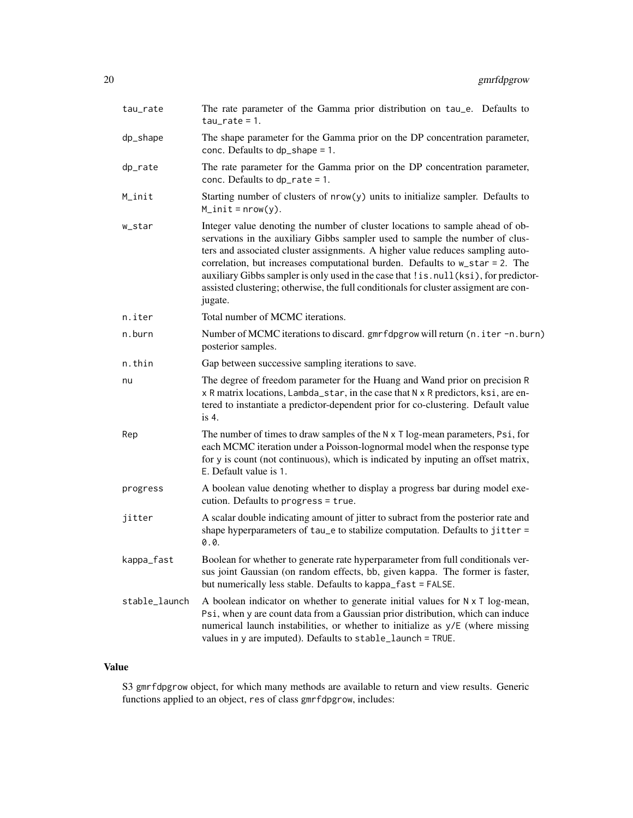| tau_rate      | The rate parameter of the Gamma prior distribution on tau_e. Defaults to<br>$tau_rate = 1$ .                                                                                                                                                                                                                                                                                                                                                                                                                                  |  |
|---------------|-------------------------------------------------------------------------------------------------------------------------------------------------------------------------------------------------------------------------------------------------------------------------------------------------------------------------------------------------------------------------------------------------------------------------------------------------------------------------------------------------------------------------------|--|
| dp_shape      | The shape parameter for the Gamma prior on the DP concentration parameter,<br>conc. Defaults to $dp$ shape = 1.                                                                                                                                                                                                                                                                                                                                                                                                               |  |
| dp_rate       | The rate parameter for the Gamma prior on the DP concentration parameter,<br>conc. Defaults to $dp$ -rate = 1.                                                                                                                                                                                                                                                                                                                                                                                                                |  |
| M_init        | Starting number of clusters of nrow(y) units to initialize sampler. Defaults to<br>$M_$ init = nrow(y).                                                                                                                                                                                                                                                                                                                                                                                                                       |  |
| w_star        | Integer value denoting the number of cluster locations to sample ahead of ob-<br>servations in the auxiliary Gibbs sampler used to sample the number of clus-<br>ters and associated cluster assignments. A higher value reduces sampling auto-<br>correlation, but increases computational burden. Defaults to w_star = 2. The<br>auxiliary Gibbs sampler is only used in the case that ! is . null (ksi), for predictor-<br>assisted clustering; otherwise, the full conditionals for cluster assigment are con-<br>jugate. |  |
| n.iter        | Total number of MCMC iterations.                                                                                                                                                                                                                                                                                                                                                                                                                                                                                              |  |
| n.burn        | Number of MCMC iterations to discard. gmrfdpgrow will return (n. iter -n. burn)<br>posterior samples.                                                                                                                                                                                                                                                                                                                                                                                                                         |  |
| n.thin        | Gap between successive sampling iterations to save.                                                                                                                                                                                                                                                                                                                                                                                                                                                                           |  |
| nu            | The degree of freedom parameter for the Huang and Wand prior on precision R<br>x R matrix locations, Lambda_star, in the case that N x R predictors, ksi, are en-<br>tered to instantiate a predictor-dependent prior for co-clustering. Default value<br>is 4.                                                                                                                                                                                                                                                               |  |
| Rep           | The number of times to draw samples of the N x T log-mean parameters, Psi, for<br>each MCMC iteration under a Poisson-lognormal model when the response type<br>for y is count (not continuous), which is indicated by inputing an offset matrix,<br>E. Default value is 1.                                                                                                                                                                                                                                                   |  |
| progress      | A boolean value denoting whether to display a progress bar during model exe-<br>cution. Defaults to progress = true.                                                                                                                                                                                                                                                                                                                                                                                                          |  |
| jitter        | A scalar double indicating amount of jitter to subract from the posterior rate and<br>shape hyperparameters of tau_e to stabilize computation. Defaults to jitter =<br>0.0.                                                                                                                                                                                                                                                                                                                                                   |  |
| kappa_fast    | Boolean for whether to generate rate hyperparameter from full conditionals ver-<br>sus joint Gaussian (on random effects, bb, given kappa. The former is faster,<br>but numerically less stable. Defaults to kappa_fast = FALSE.                                                                                                                                                                                                                                                                                              |  |
| stable_launch | A boolean indicator on whether to generate initial values for $N \times T$ log-mean,<br>Psi, when y are count data from a Gaussian prior distribution, which can induce<br>numerical launch instabilities, or whether to initialize as y/E (where missing<br>values in y are imputed). Defaults to stable_launch = TRUE.                                                                                                                                                                                                      |  |

## Value

S3 gmrfdpgrow object, for which many methods are available to return and view results. Generic functions applied to an object, res of class gmrfdpgrow, includes: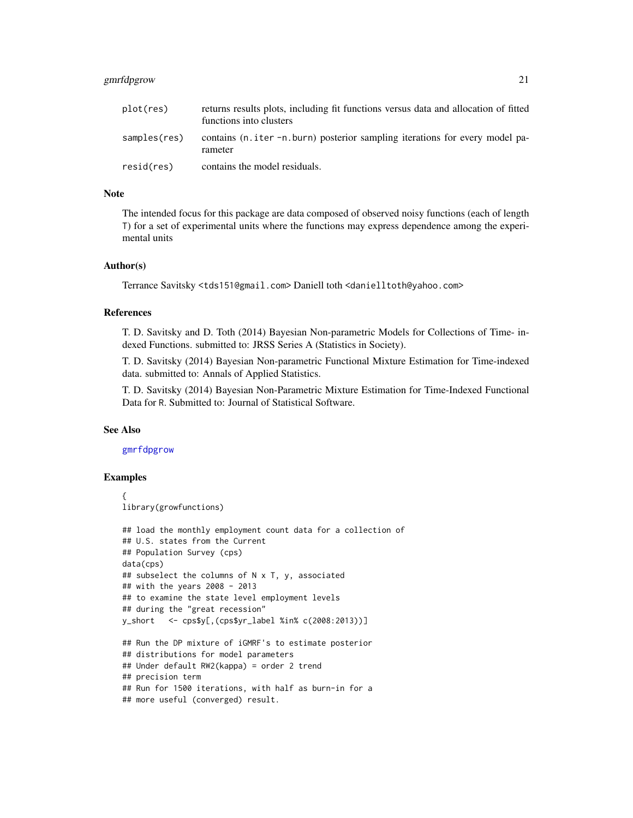#### <span id="page-20-0"></span>gmrfdpgrow 21

| plot(res)    | returns results plots, including fit functions versus data and allocation of fitted<br>functions into clusters |
|--------------|----------------------------------------------------------------------------------------------------------------|
| samples(res) | contains (n. iter -n. burn) posterior sampling iterations for every model pa-<br>rameter                       |
| resid(res)   | contains the model residuals.                                                                                  |

#### Note

The intended focus for this package are data composed of observed noisy functions (each of length T) for a set of experimental units where the functions may express dependence among the experimental units

#### Author(s)

Terrance Savitsky <tds151@gmail.com> Daniell toth <danielltoth@yahoo.com>

#### References

T. D. Savitsky and D. Toth (2014) Bayesian Non-parametric Models for Collections of Time- indexed Functions. submitted to: JRSS Series A (Statistics in Society).

T. D. Savitsky (2014) Bayesian Non-parametric Functional Mixture Estimation for Time-indexed data. submitted to: Annals of Applied Statistics.

T. D. Savitsky (2014) Bayesian Non-Parametric Mixture Estimation for Time-Indexed Functional Data for R. Submitted to: Journal of Statistical Software.

#### See Also

[gmrfdpgrow](#page-17-1)

#### Examples

```
{
library(growfunctions)
## load the monthly employment count data for a collection of
## U.S. states from the Current
## Population Survey (cps)
data(cps)
## subselect the columns of N x T, y, associated
## with the years 2008 - 2013
## to examine the state level employment levels
## during the "great recession"
y_short <- cps$y[,(cps$yr_label %in% c(2008:2013))]
## Run the DP mixture of iGMRF's to estimate posterior
## distributions for model parameters
## Under default RW2(kappa) = order 2 trend
## precision term
## Run for 1500 iterations, with half as burn-in for a
## more useful (converged) result.
```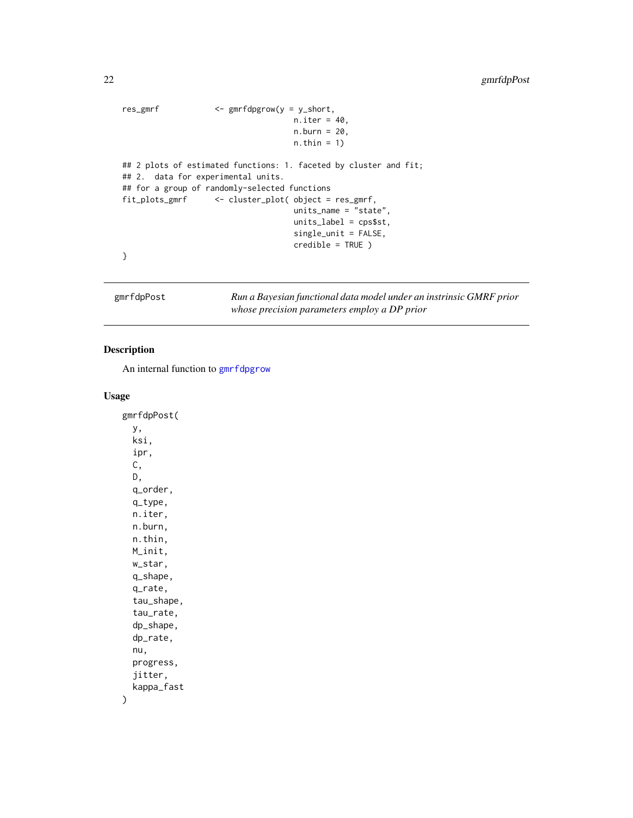```
res_gmrf <- gmrfdpgrow(y = y_short,
                                   n.iter = 40,n.burn = 20,
                                   n.thin = 1)
## 2 plots of estimated functions: 1. faceted by cluster and fit;
## 2. data for experimental units.
## for a group of randomly-selected functions
fit_plots_gmrf <- cluster_plot( object = res_gmrf,
                                   units_name = "state",
                                   units_label = cps$st,
                                   single_unit = FALSE,
                                   credible = TRUE )
}
```
gmrfdpPost *Run a Bayesian functional data model under an instrinsic GMRF prior whose precision parameters employ a DP prior*

#### Description

An internal function to [gmrfdpgrow](#page-17-1)

#### Usage

gmrfdpPost( y, ksi, ipr, C, D, q\_order, q\_type, n.iter, n.burn, n.thin, M\_init, w\_star, q\_shape, q\_rate, tau\_shape, tau\_rate, dp\_shape, dp\_rate, nu, progress, jitter, kappa\_fast )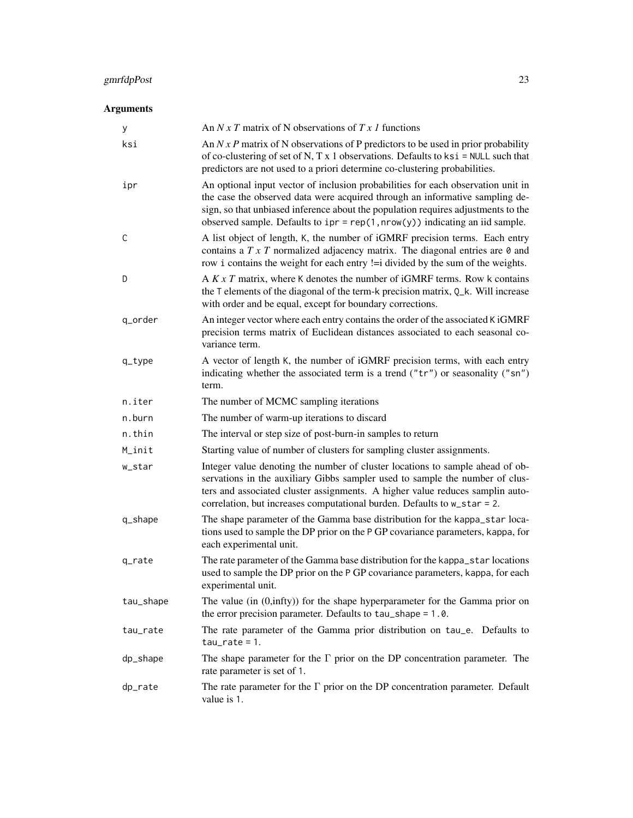## gmrfdpPost 23

## Arguments

| У         | An N x T matrix of N observations of T x 1 functions                                                                                                                                                                                                                                                                                    |
|-----------|-----------------------------------------------------------------------------------------------------------------------------------------------------------------------------------------------------------------------------------------------------------------------------------------------------------------------------------------|
| ksi       | An $N x P$ matrix of N observations of P predictors to be used in prior probability<br>of co-clustering of set of N, T x 1 observations. Defaults to $ksi$ = NULL such that<br>predictors are not used to a priori determine co-clustering probabilities.                                                                               |
| ipr       | An optional input vector of inclusion probabilities for each observation unit in<br>the case the observed data were acquired through an informative sampling de-<br>sign, so that unbiased inference about the population requires adjustments to the<br>observed sample. Defaults to $ipr = rep(1, nrow(y))$ indicating an iid sample. |
| C         | A list object of length, K, the number of iGMRF precision terms. Each entry<br>contains a $T \times T$ normalized adjacency matrix. The diagonal entries are $\theta$ and<br>row i contains the weight for each entry != i divided by the sum of the weights.                                                                           |
| D         | A $K \times T$ matrix, where K denotes the number of iGMRF terms. Row k contains<br>the T elements of the diagonal of the term-k precision matrix, Q_k. Will increase<br>with order and be equal, except for boundary corrections.                                                                                                      |
| q_order   | An integer vector where each entry contains the order of the associated K iGMRF<br>precision terms matrix of Euclidean distances associated to each seasonal co-<br>variance term.                                                                                                                                                      |
| $q_t$     | A vector of length K, the number of iGMRF precision terms, with each entry<br>indicating whether the associated term is a trend ("tr") or seasonality ("sn")<br>term.                                                                                                                                                                   |
| n.iter    | The number of MCMC sampling iterations                                                                                                                                                                                                                                                                                                  |
| n.burn    | The number of warm-up iterations to discard                                                                                                                                                                                                                                                                                             |
| n.thin    | The interval or step size of post-burn-in samples to return                                                                                                                                                                                                                                                                             |
| M_init    | Starting value of number of clusters for sampling cluster assignments.                                                                                                                                                                                                                                                                  |
| w_star    | Integer value denoting the number of cluster locations to sample ahead of ob-<br>servations in the auxiliary Gibbs sampler used to sample the number of clus-<br>ters and associated cluster assignments. A higher value reduces samplin auto-<br>correlation, but increases computational burden. Defaults to $w_{\text{1star}} = 2$ . |
| q_shape   | The shape parameter of the Gamma base distribution for the kappa_star loca-<br>tions used to sample the DP prior on the P GP covariance parameters, kappa, for<br>each experimental unit.                                                                                                                                               |
| q_rate    | The rate parameter of the Gamma base distribution for the kappa_star locations<br>used to sample the DP prior on the P GP covariance parameters, kappa, for each<br>experimental unit.                                                                                                                                                  |
| tau_shape | The value (in $(0, \text{infty}))$ for the shape hyperparameter for the Gamma prior on<br>the error precision parameter. Defaults to tau_shape = 1.0.                                                                                                                                                                                   |
| tau_rate  | The rate parameter of the Gamma prior distribution on tau_e. Defaults to<br>$tau_rate = 1.$                                                                                                                                                                                                                                             |
| dp_shape  | The shape parameter for the $\Gamma$ prior on the DP concentration parameter. The<br>rate parameter is set of 1.                                                                                                                                                                                                                        |
| dp_rate   | The rate parameter for the $\Gamma$ prior on the DP concentration parameter. Default<br>value is 1.                                                                                                                                                                                                                                     |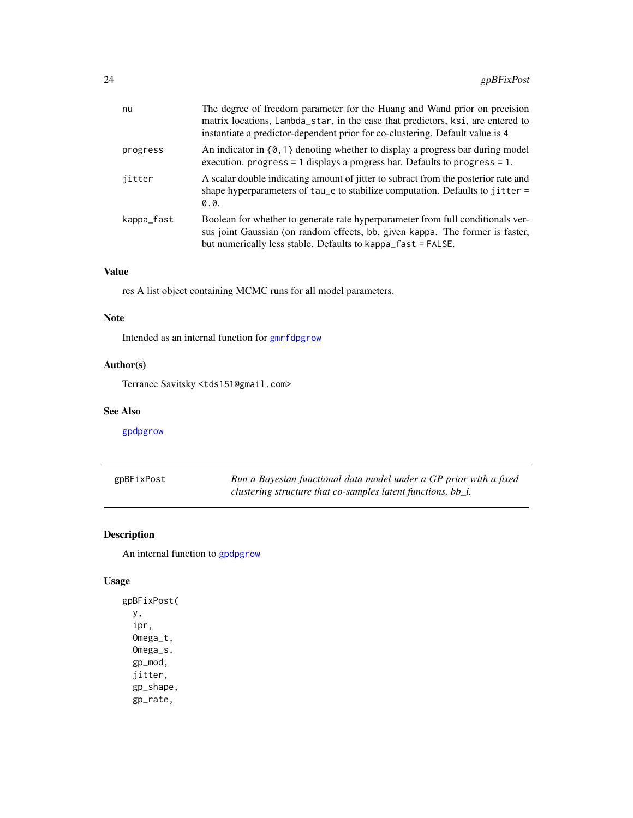<span id="page-23-0"></span>

| nu         | The degree of freedom parameter for the Huang and Wand prior on precision<br>matrix locations, Lambda_star, in the case that predictors, ksi, are entered to<br>instantiate a predictor-dependent prior for co-clustering. Default value is 4 |
|------------|-----------------------------------------------------------------------------------------------------------------------------------------------------------------------------------------------------------------------------------------------|
| progress   | An indicator in $\{0,1\}$ denoting whether to display a progress bar during model<br>execution. progress = 1 displays a progress bar. Defaults to progress = 1.                                                                               |
| jitter     | A scalar double indicating amount of jitter to subract from the posterior rate and<br>shape hyperparameters of $tau$ is tabilize computation. Defaults to jitter =<br>0.0.                                                                    |
| kappa_fast | Boolean for whether to generate rate hyperparameter from full conditionals ver-<br>sus joint Gaussian (on random effects, bb, given kappa. The former is faster,<br>but numerically less stable. Defaults to kappa_fast = FALSE.              |

## Value

res A list object containing MCMC runs for all model parameters.

## Note

Intended as an internal function for [gmrfdpgrow](#page-17-1)

## Author(s)

Terrance Savitsky <tds151@gmail.com>

#### See Also

[gpdpgrow](#page-28-1)

| gpBFixPost | Run a Bayesian functional data model under a GP prior with a fixed |
|------------|--------------------------------------------------------------------|
|            | clustering structure that co-samples latent functions, $bb_i$ .    |

## Description

An internal function to [gpdpgrow](#page-28-1)

#### Usage

```
gpBFixPost(
 y,
  ipr,
 Omega_t,
 Omega_s,
 gp_mod,
  jitter,
  gp_shape,
  gp_rate,
```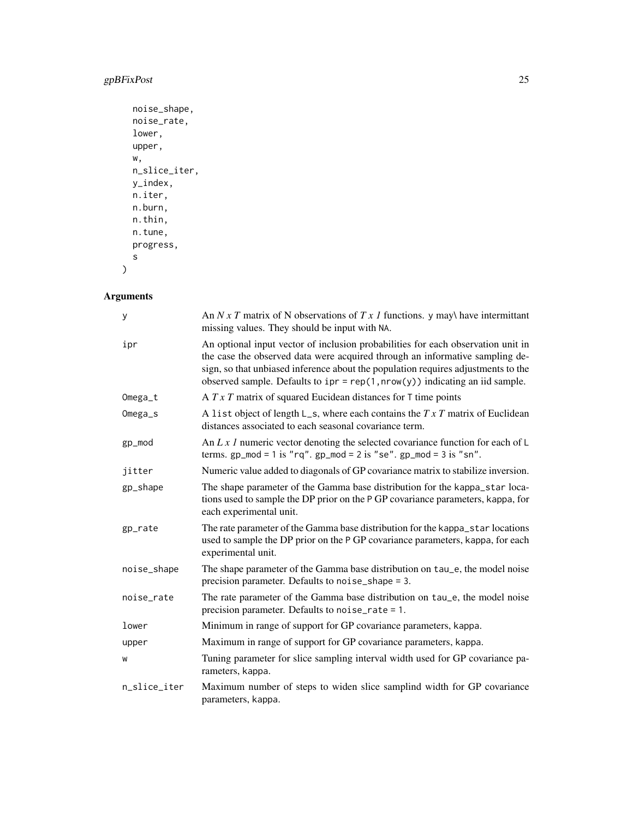## gpBFixPost 25

```
noise_shape,
noise_rate,
lower,
upper,
w,
n_slice_iter,
y_index,
n.iter,
n.burn,
n.thin,
n.tune,
progress,
s
```
## Arguments

 $\,$ 

| У            | An N x T matrix of N observations of T x 1 functions. y may have intermittant<br>missing values. They should be input with NA.                                                                                                                                                                                                          |  |
|--------------|-----------------------------------------------------------------------------------------------------------------------------------------------------------------------------------------------------------------------------------------------------------------------------------------------------------------------------------------|--|
| ipr          | An optional input vector of inclusion probabilities for each observation unit in<br>the case the observed data were acquired through an informative sampling de-<br>sign, so that unbiased inference about the population requires adjustments to the<br>observed sample. Defaults to $ipr = rep(1, nrow(y))$ indicating an iid sample. |  |
| Omega_t      | A $T \times T$ matrix of squared Eucidean distances for T time points                                                                                                                                                                                                                                                                   |  |
| Omega_s      | A list object of length $L_s$ , where each contains the $TxT$ matrix of Euclidean<br>distances associated to each seasonal covariance term.                                                                                                                                                                                             |  |
| gp_mod       | An L x 1 numeric vector denoting the selected covariance function for each of $\mathsf{L}$<br>terms. $gp_{mod} = 1$ is "rq". $gp_{mod} = 2$ is "se". $gp_{mod} = 3$ is "sn".                                                                                                                                                            |  |
| jitter       | Numeric value added to diagonals of GP covariance matrix to stabilize inversion.                                                                                                                                                                                                                                                        |  |
| gp_shape     | The shape parameter of the Gamma base distribution for the kappa_star loca-<br>tions used to sample the DP prior on the P GP covariance parameters, kappa, for<br>each experimental unit.                                                                                                                                               |  |
| gp_rate      | The rate parameter of the Gamma base distribution for the kappa_star locations<br>used to sample the DP prior on the P GP covariance parameters, kappa, for each<br>experimental unit.                                                                                                                                                  |  |
| noise_shape  | The shape parameter of the Gamma base distribution on tau_e, the model noise<br>precision parameter. Defaults to noise_shape = 3.                                                                                                                                                                                                       |  |
| noise_rate   | The rate parameter of the Gamma base distribution on tau_e, the model noise<br>precision parameter. Defaults to noise_rate = 1.                                                                                                                                                                                                         |  |
| lower        | Minimum in range of support for GP covariance parameters, kappa.                                                                                                                                                                                                                                                                        |  |
| upper        | Maximum in range of support for GP covariance parameters, kappa.                                                                                                                                                                                                                                                                        |  |
| W            | Tuning parameter for slice sampling interval width used for GP covariance pa-<br>rameters, kappa.                                                                                                                                                                                                                                       |  |
| n_slice_iter | Maximum number of steps to widen slice samplind width for GP covariance<br>parameters, kappa.                                                                                                                                                                                                                                           |  |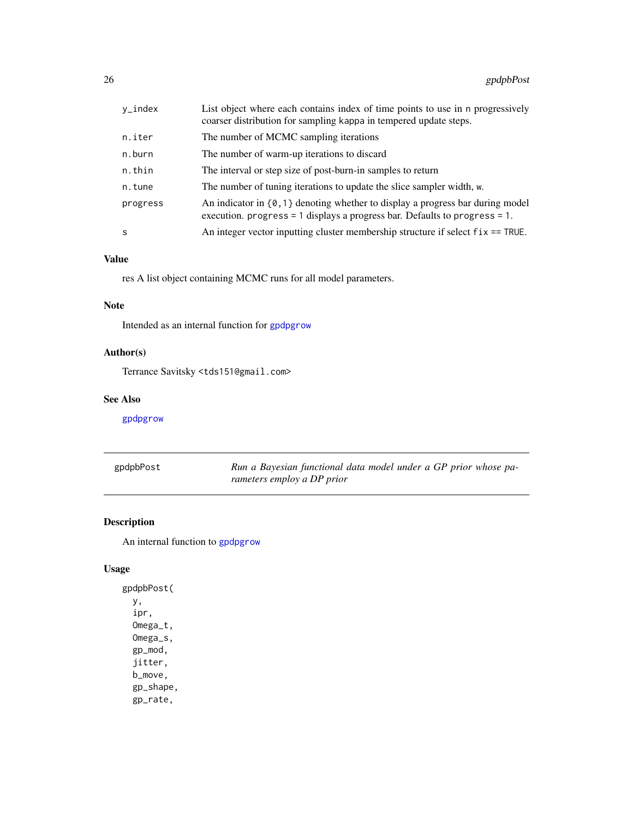<span id="page-25-0"></span>

| y_index  | List object where each contains index of time points to use in n progressively<br>coarser distribution for sampling kappa in tempered update steps.              |
|----------|------------------------------------------------------------------------------------------------------------------------------------------------------------------|
| n.iter   | The number of MCMC sampling iterations                                                                                                                           |
| n.burn   | The number of warm-up iterations to discard                                                                                                                      |
| n.thin   | The interval or step size of post-burn-in samples to return                                                                                                      |
| n.tune   | The number of tuning iterations to update the slice sampler width, w.                                                                                            |
| progress | An indicator in $\{0, 1\}$ denoting whether to display a progress bar during model<br>execution. progress = 1 displays a progress bar. Defaults to progress = 1. |
| S        | An integer vector inputting cluster membership structure if select $fix = TRUE$ .                                                                                |

#### Value

res A list object containing MCMC runs for all model parameters.

#### Note

Intended as an internal function for [gpdpgrow](#page-28-1)

## Author(s)

Terrance Savitsky <tds151@gmail.com>

#### See Also

[gpdpgrow](#page-28-1)

| gpdpbPost | Run a Bayesian functional data model under a GP prior whose pa- |
|-----------|-----------------------------------------------------------------|
|           | rameters employ a DP prior                                      |

#### Description

An internal function to [gpdpgrow](#page-28-1)

## Usage

gpdpbPost( y, ipr, Omega\_t, Omega\_s, gp\_mod, jitter, b\_move, gp\_shape, gp\_rate,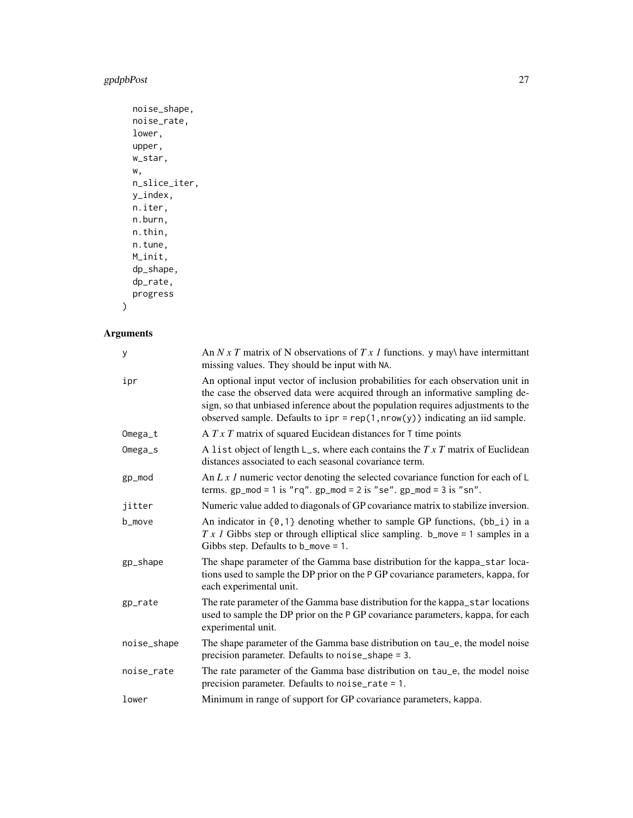## gpdpbPost 27

```
noise_shape,
noise_rate,
lower,
upper,
w_star,
w,
n_slice_iter,
y_index,
n.iter,
n.burn,
n.thin,
n.tune,
M_init,
dp_shape,
dp_rate,
progress
```
)

## Arguments

| У           | An $N x T$ matrix of N observations of $T x I$ functions. y may have intermittant<br>missing values. They should be input with NA.                                                                                                                                                                                                      |
|-------------|-----------------------------------------------------------------------------------------------------------------------------------------------------------------------------------------------------------------------------------------------------------------------------------------------------------------------------------------|
| ipr         | An optional input vector of inclusion probabilities for each observation unit in<br>the case the observed data were acquired through an informative sampling de-<br>sign, so that unbiased inference about the population requires adjustments to the<br>observed sample. Defaults to $ipr = rep(1, nrow(y))$ indicating an iid sample. |
| Omega_t     | A $T \times T$ matrix of squared Eucidean distances for T time points                                                                                                                                                                                                                                                                   |
| Omega_s     | A list object of length $L_s$ , where each contains the $TxT$ matrix of Euclidean<br>distances associated to each seasonal covariance term.                                                                                                                                                                                             |
| gp_mod      | An L x 1 numeric vector denoting the selected covariance function for each of $\mathsf{L}$<br>terms. $gp_{mod} = 1$ is "rq". $gp_{mod} = 2$ is "se". $gp_{mod} = 3$ is "sn".                                                                                                                                                            |
| jitter      | Numeric value added to diagonals of GP covariance matrix to stabilize inversion.                                                                                                                                                                                                                                                        |
| b_move      | An indicator in $\{0, 1\}$ denoting whether to sample GP functions, $(bb_i)$ in a<br>$Tx$ I Gibbs step or through elliptical slice sampling. b_move = 1 samples in a<br>Gibbs step. Defaults to $b_m$ = 1.                                                                                                                              |
| gp_shape    | The shape parameter of the Gamma base distribution for the kappa_star loca-<br>tions used to sample the DP prior on the P GP covariance parameters, kappa, for<br>each experimental unit.                                                                                                                                               |
| gp_rate     | The rate parameter of the Gamma base distribution for the kappa_star locations<br>used to sample the DP prior on the P GP covariance parameters, kappa, for each<br>experimental unit.                                                                                                                                                  |
| noise_shape | The shape parameter of the Gamma base distribution on tau_e, the model noise<br>precision parameter. Defaults to noise_shape = 3.                                                                                                                                                                                                       |
| noise_rate  | The rate parameter of the Gamma base distribution on tau_e, the model noise<br>precision parameter. Defaults to noise_rate = $1$ .                                                                                                                                                                                                      |
| lower       | Minimum in range of support for GP covariance parameters, kappa.                                                                                                                                                                                                                                                                        |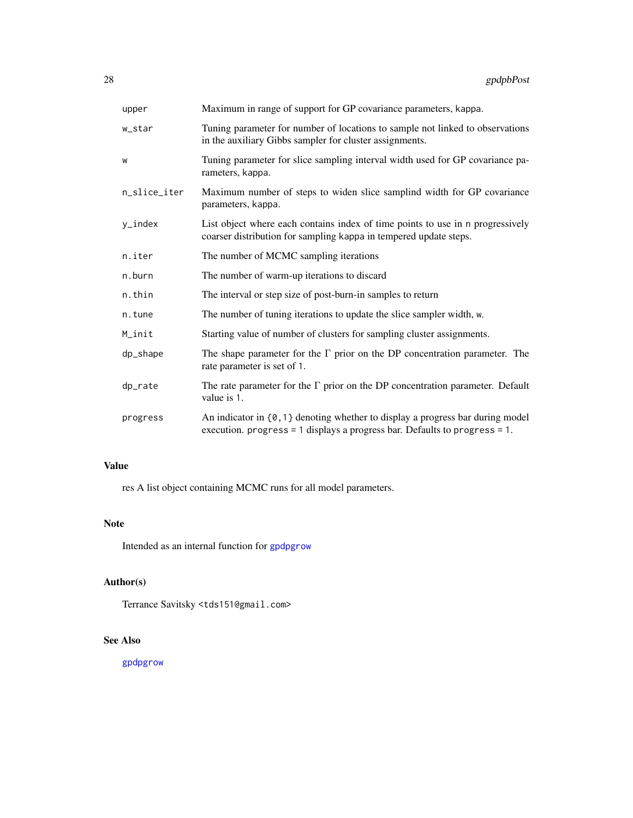<span id="page-27-0"></span>

| upper        | Maximum in range of support for GP covariance parameters, kappa.                                                                                                      |
|--------------|-----------------------------------------------------------------------------------------------------------------------------------------------------------------------|
| w_star       | Tuning parameter for number of locations to sample not linked to observations<br>in the auxiliary Gibbs sampler for cluster assignments.                              |
| W            | Tuning parameter for slice sampling interval width used for GP covariance pa-<br>rameters, kappa.                                                                     |
| n_slice_iter | Maximum number of steps to widen slice samplind width for GP covariance<br>parameters, kappa.                                                                         |
| y_index      | List object where each contains index of time points to use in n progressively<br>coarser distribution for sampling kappa in tempered update steps.                   |
| n.iter       | The number of MCMC sampling iterations                                                                                                                                |
| n.burn       | The number of warm-up iterations to discard                                                                                                                           |
| n.thin       | The interval or step size of post-burn-in samples to return                                                                                                           |
| n.tune       | The number of tuning iterations to update the slice sampler width, w.                                                                                                 |
| M_init       | Starting value of number of clusters for sampling cluster assignments.                                                                                                |
| dp_shape     | The shape parameter for the $\Gamma$ prior on the DP concentration parameter. The<br>rate parameter is set of 1.                                                      |
| dp_rate      | The rate parameter for the $\Gamma$ prior on the DP concentration parameter. Default<br>value is 1.                                                                   |
| progress     | An indicator in $\{0, 1\}$ denoting whether to display a progress bar during model<br>execution. progress = $1$ displays a progress bar. Defaults to progress = $1$ . |

## Value

res A list object containing MCMC runs for all model parameters.

#### Note

Intended as an internal function for [gpdpgrow](#page-28-1)

## Author(s)

Terrance Savitsky <tds151@gmail.com>

## See Also

[gpdpgrow](#page-28-1)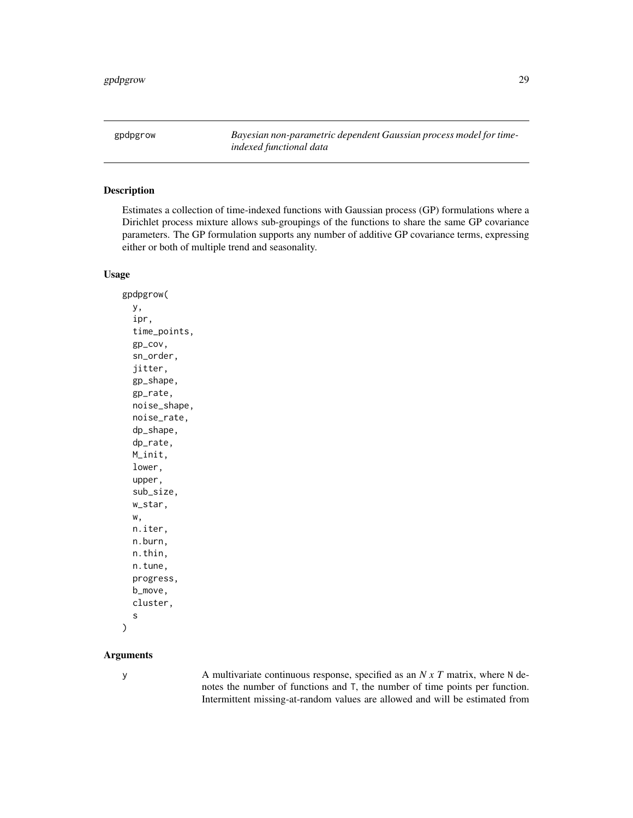<span id="page-28-1"></span><span id="page-28-0"></span>gpdpgrow *Bayesian non-parametric dependent Gaussian process model for timeindexed functional data*

#### Description

Estimates a collection of time-indexed functions with Gaussian process (GP) formulations where a Dirichlet process mixture allows sub-groupings of the functions to share the same GP covariance parameters. The GP formulation supports any number of additive GP covariance terms, expressing either or both of multiple trend and seasonality.

#### Usage

gpdpgrow( y, ipr, time\_points, gp\_cov, sn\_order, jitter, gp\_shape, gp\_rate, noise\_shape, noise\_rate, dp\_shape, dp\_rate, M\_init, lower, upper, sub\_size, w\_star, w, n.iter, n.burn, n.thin, n.tune, progress, b\_move, cluster, s

#### Arguments

)

y A multivariate continuous response, specified as an *N x T* matrix, where N denotes the number of functions and T, the number of time points per function. Intermittent missing-at-random values are allowed and will be estimated from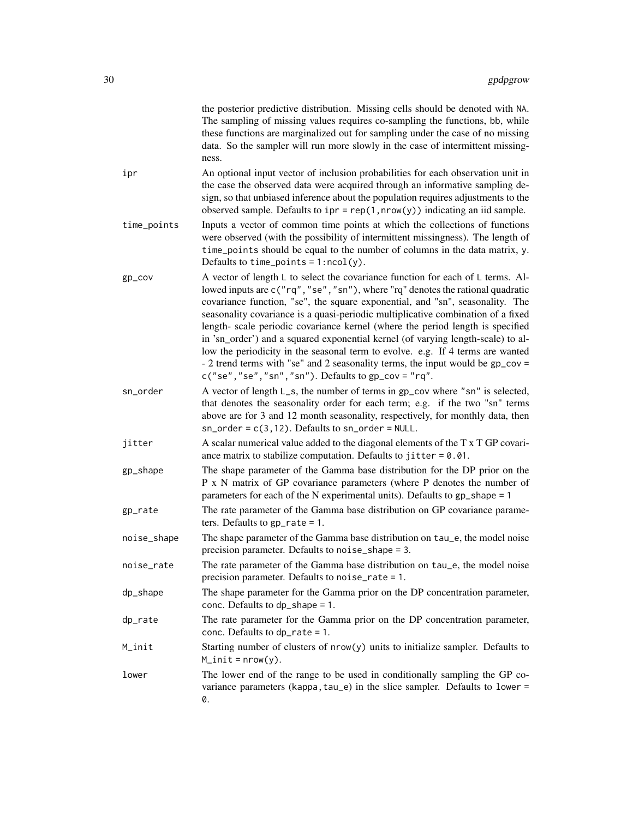|             | the posterior predictive distribution. Missing cells should be denoted with NA.<br>The sampling of missing values requires co-sampling the functions, bb, while<br>these functions are marginalized out for sampling under the case of no missing<br>data. So the sampler will run more slowly in the case of intermittent missing-<br>ness.                                                                                                                                                                                                                                                                                                                                                                                                    |
|-------------|-------------------------------------------------------------------------------------------------------------------------------------------------------------------------------------------------------------------------------------------------------------------------------------------------------------------------------------------------------------------------------------------------------------------------------------------------------------------------------------------------------------------------------------------------------------------------------------------------------------------------------------------------------------------------------------------------------------------------------------------------|
| ipr         | An optional input vector of inclusion probabilities for each observation unit in<br>the case the observed data were acquired through an informative sampling de-<br>sign, so that unbiased inference about the population requires adjustments to the<br>observed sample. Defaults to $ipr = rep(1, nrow(y))$ indicating an iid sample.                                                                                                                                                                                                                                                                                                                                                                                                         |
| time_points | Inputs a vector of common time points at which the collections of functions<br>were observed (with the possibility of intermittent missingness). The length of<br>time_points should be equal to the number of columns in the data matrix, y.<br>Defaults to time_points = $1:ncol(y)$ .                                                                                                                                                                                                                                                                                                                                                                                                                                                        |
| gp_cov      | A vector of length L to select the covariance function for each of L terms. Al-<br>lowed inputs are c("rq","se","sn"), where "rq" denotes the rational quadratic<br>covariance function, "se", the square exponential, and "sn", seasonality. The<br>seasonality covariance is a quasi-periodic multiplicative combination of a fixed<br>length- scale periodic covariance kernel (where the period length is specified<br>in 'sn_order') and a squared exponential kernel (of varying length-scale) to al-<br>low the periodicity in the seasonal term to evolve. e.g. If 4 terms are wanted<br>- 2 trend terms with "se" and 2 seasonality terms, the input would be gp_cov =<br>$c("se", "se", "sn", "sn")$ . Defaults to $gp_{cov} = "rq".$ |
| sn_order    | A vector of length L_s, the number of terms in gp_cov where "sn" is selected,<br>that denotes the seasonality order for each term; e.g. if the two "sn" terms<br>above are for 3 and 12 month seasonality, respectively, for monthly data, then<br>$sn\_order = c(3, 12)$ . Defaults to $sn\_order = NULL$ .                                                                                                                                                                                                                                                                                                                                                                                                                                    |
| jitter      | A scalar numerical value added to the diagonal elements of the T x T GP covari-<br>ance matrix to stabilize computation. Defaults to jitter = $0.01$ .                                                                                                                                                                                                                                                                                                                                                                                                                                                                                                                                                                                          |
| gp_shape    | The shape parameter of the Gamma base distribution for the DP prior on the<br>P x N matrix of GP covariance parameters (where P denotes the number of<br>parameters for each of the N experimental units). Defaults to gp_shape = 1                                                                                                                                                                                                                                                                                                                                                                                                                                                                                                             |
| gp_rate     | The rate parameter of the Gamma base distribution on GP covariance parame-<br>ters. Defaults to $gp$ -rate = 1.                                                                                                                                                                                                                                                                                                                                                                                                                                                                                                                                                                                                                                 |
| noise_shape | The shape parameter of the Gamma base distribution on tau_e, the model noise<br>precision parameter. Defaults to noise_shape = 3.                                                                                                                                                                                                                                                                                                                                                                                                                                                                                                                                                                                                               |
| noise_rate  | The rate parameter of the Gamma base distribution on tau_e, the model noise<br>precision parameter. Defaults to noise_rate = 1.                                                                                                                                                                                                                                                                                                                                                                                                                                                                                                                                                                                                                 |
| dp_shape    | The shape parameter for the Gamma prior on the DP concentration parameter,<br>conc. Defaults to dp_shape = 1.                                                                                                                                                                                                                                                                                                                                                                                                                                                                                                                                                                                                                                   |
| dp_rate     | The rate parameter for the Gamma prior on the DP concentration parameter,<br>conc. Defaults to $dp$ -rate = 1.                                                                                                                                                                                                                                                                                                                                                                                                                                                                                                                                                                                                                                  |
| M_init      | Starting number of clusters of nrow(y) units to initialize sampler. Defaults to<br>$M\_init = nrow(y)$ .                                                                                                                                                                                                                                                                                                                                                                                                                                                                                                                                                                                                                                        |
| lower       | The lower end of the range to be used in conditionally sampling the GP co-<br>variance parameters (kappa, tau_e) in the slice sampler. Defaults to lower =<br>0.                                                                                                                                                                                                                                                                                                                                                                                                                                                                                                                                                                                |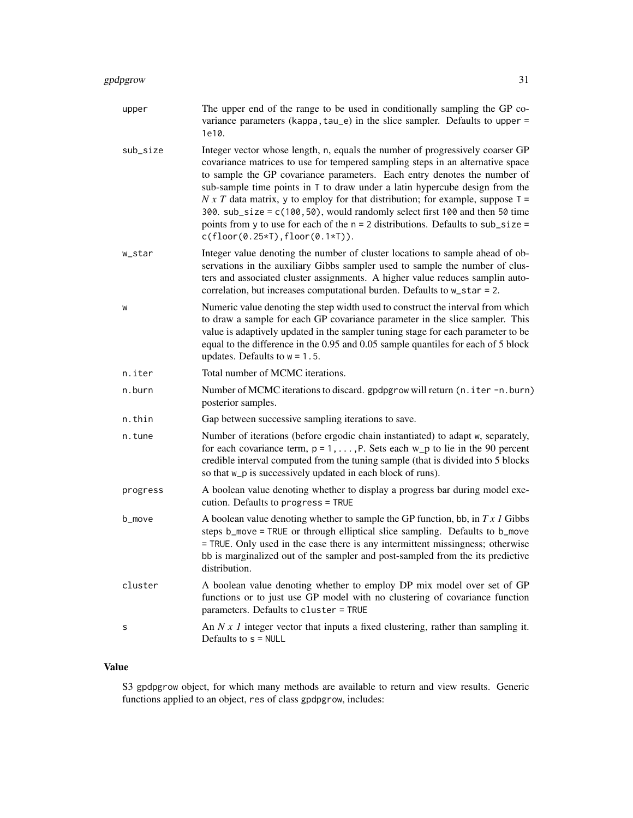## gpdpgrow 31

| upper    | The upper end of the range to be used in conditionally sampling the GP co-<br>variance parameters (kappa, tau_e) in the slice sampler. Defaults to upper =<br>1e10.                                                                                                                                                                                                                                                                                                                                                                                                                                                        |
|----------|----------------------------------------------------------------------------------------------------------------------------------------------------------------------------------------------------------------------------------------------------------------------------------------------------------------------------------------------------------------------------------------------------------------------------------------------------------------------------------------------------------------------------------------------------------------------------------------------------------------------------|
| sub_size | Integer vector whose length, n, equals the number of progressively coarser GP<br>covariance matrices to use for tempered sampling steps in an alternative space<br>to sample the GP covariance parameters. Each entry denotes the number of<br>sub-sample time points in T to draw under a latin hypercube design from the<br>$N x T$ data matrix, y to employ for that distribution; for example, suppose $T =$<br>300. sub_size = c(100,50), would randomly select first 100 and then 50 time<br>points from y to use for each of the $n = 2$ distributions. Defaults to sub_size =<br>$c(floor(0.25*T), floor(0.1*T)).$ |
| w_star   | Integer value denoting the number of cluster locations to sample ahead of ob-<br>servations in the auxiliary Gibbs sampler used to sample the number of clus-<br>ters and associated cluster assignments. A higher value reduces samplin auto-<br>correlation, but increases computational burden. Defaults to w_star = 2.                                                                                                                                                                                                                                                                                                 |
| W        | Numeric value denoting the step width used to construct the interval from which<br>to draw a sample for each GP covariance parameter in the slice sampler. This<br>value is adaptively updated in the sampler tuning stage for each parameter to be<br>equal to the difference in the 0.95 and 0.05 sample quantiles for each of 5 block<br>updates. Defaults to $w = 1.5$ .                                                                                                                                                                                                                                               |
| n.iter   | Total number of MCMC iterations.                                                                                                                                                                                                                                                                                                                                                                                                                                                                                                                                                                                           |
| n.burn   | Number of MCMC iterations to discard. gpdpgrow will return (n.iter -n.burn)<br>posterior samples.                                                                                                                                                                                                                                                                                                                                                                                                                                                                                                                          |
| n.thin   | Gap between successive sampling iterations to save.                                                                                                                                                                                                                                                                                                                                                                                                                                                                                                                                                                        |
| n.tune   | Number of iterations (before ergodic chain instantiated) to adapt w, separately,<br>for each covariance term, $p = 1, \ldots, P$ . Sets each w_p to lie in the 90 percent<br>credible interval computed from the tuning sample (that is divided into 5 blocks<br>so that w_p is successively updated in each block of runs).                                                                                                                                                                                                                                                                                               |
| progress | A boolean value denoting whether to display a progress bar during model exe-<br>cution. Defaults to progress = TRUE                                                                                                                                                                                                                                                                                                                                                                                                                                                                                                        |
| b_move   | A boolean value denoting whether to sample the GP function, bb, in $Tx \, I$ Gibbs<br>steps b_move = TRUE or through elliptical slice sampling. Defaults to b_move<br>= TRUE. Only used in the case there is any intermittent missingness; otherwise<br>bb is marginalized out of the sampler and post-sampled from the its predictive<br>distribution.                                                                                                                                                                                                                                                                    |
| cluster  | A boolean value denoting whether to employ DP mix model over set of GP<br>functions or to just use GP model with no clustering of covariance function<br>parameters. Defaults to cluster = TRUE                                                                                                                                                                                                                                                                                                                                                                                                                            |
| s        | An $N x 1$ integer vector that inputs a fixed clustering, rather than sampling it.<br>Defaults to $s = NULL$                                                                                                                                                                                                                                                                                                                                                                                                                                                                                                               |

## Value

S3 gpdpgrow object, for which many methods are available to return and view results. Generic functions applied to an object, res of class gpdpgrow, includes: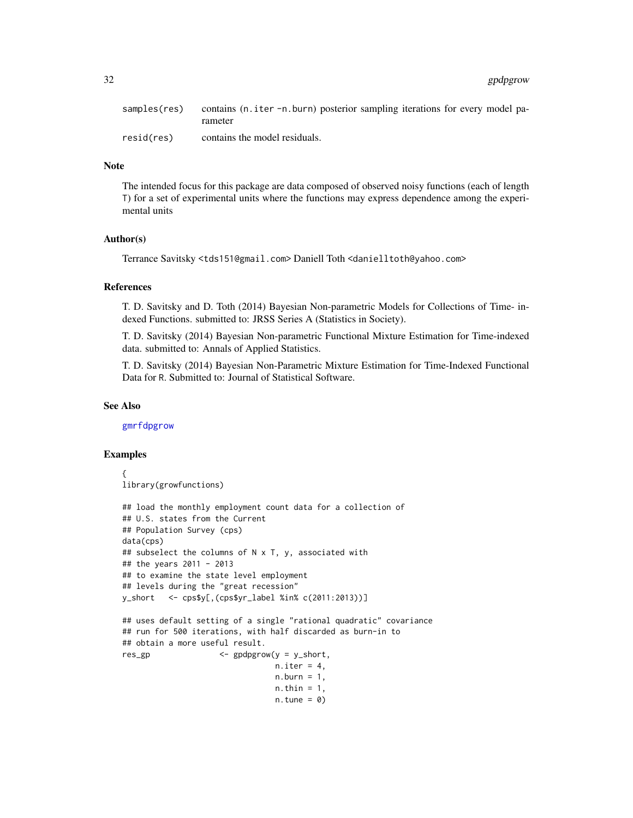<span id="page-31-0"></span>

| samples(res) | contains (n. iter -n. burn) posterior sampling iterations for every model pa- |
|--------------|-------------------------------------------------------------------------------|
|              | rameter                                                                       |
| resid(res)   | contains the model residuals.                                                 |

#### Note

The intended focus for this package are data composed of observed noisy functions (each of length T) for a set of experimental units where the functions may express dependence among the experimental units

#### Author(s)

Terrance Savitsky <tds151@gmail.com> Daniell Toth <danielltoth@yahoo.com>

#### References

T. D. Savitsky and D. Toth (2014) Bayesian Non-parametric Models for Collections of Time- indexed Functions. submitted to: JRSS Series A (Statistics in Society).

T. D. Savitsky (2014) Bayesian Non-parametric Functional Mixture Estimation for Time-indexed data. submitted to: Annals of Applied Statistics.

T. D. Savitsky (2014) Bayesian Non-Parametric Mixture Estimation for Time-Indexed Functional Data for R. Submitted to: Journal of Statistical Software.

#### See Also

[gmrfdpgrow](#page-17-1)

#### Examples

```
{
library(growfunctions)
## load the monthly employment count data for a collection of
## U.S. states from the Current
## Population Survey (cps)
data(cps)
## subselect the columns of N x T, y, associated with
## the years 2011 - 2013
## to examine the state level employment
## levels during the "great recession"
y_short <- cps$y[,(cps$yr_label %in% c(2011:2013))]
## uses default setting of a single "rational quadratic" covariance
## run for 500 iterations, with half discarded as burn-in to
## obtain a more useful result.
res_gp <- gpdpgrow(y = y_short,
                                n.iter = 4,
                                n.burn = 1,
                                n.thin = 1,
                                n.tune = 0)
```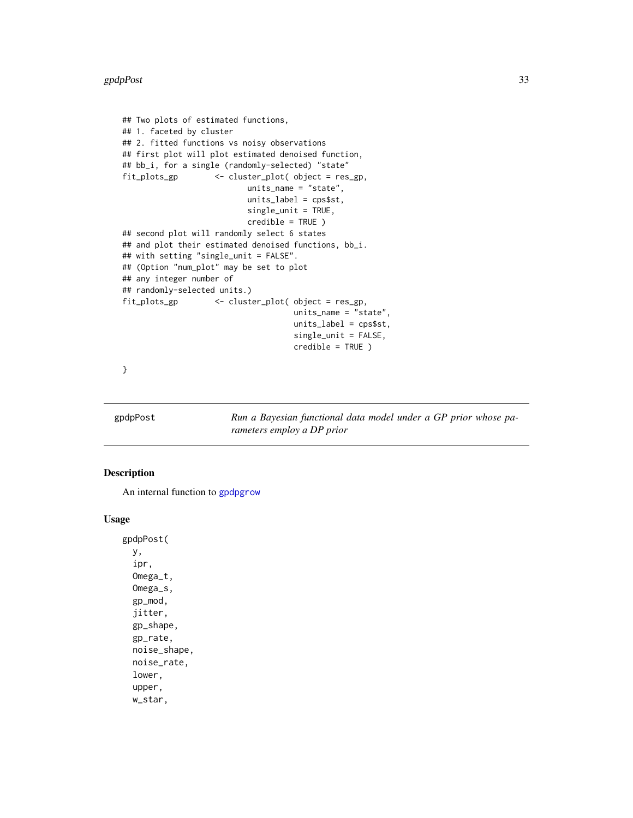```
## Two plots of estimated functions,
## 1. faceted by cluster
## 2. fitted functions vs noisy observations
## first plot will plot estimated denoised function,
## bb_i, for a single (randomly-selected) "state"
fit_plots_gp <- cluster_plot( object = res_gp,
                          units_name = "state",
                          units_label = cps$st,
                          single_unit = TRUE,
                          credible = TRUE )
## second plot will randomly select 6 states
## and plot their estimated denoised functions, bb_i.
## with setting "single_unit = FALSE".
## (Option "num_plot" may be set to plot
## any integer number of
## randomly-selected units.)
fit_plots_gp <- cluster_plot( object = res_gp,
                                    units_name = "state",
                                    units_label = cps$st,
                                    single_unit = FALSE,
                                    credible = TRUE )
```
}

gpdpPost *Run a Bayesian functional data model under a GP prior whose parameters employ a DP prior*

#### Description

An internal function to [gpdpgrow](#page-28-1)

#### Usage

gpdpPost( y, ipr, Omega\_t, Omega\_s, gp\_mod, jitter, gp\_shape, gp\_rate, noise\_shape, noise\_rate, lower, upper, w\_star,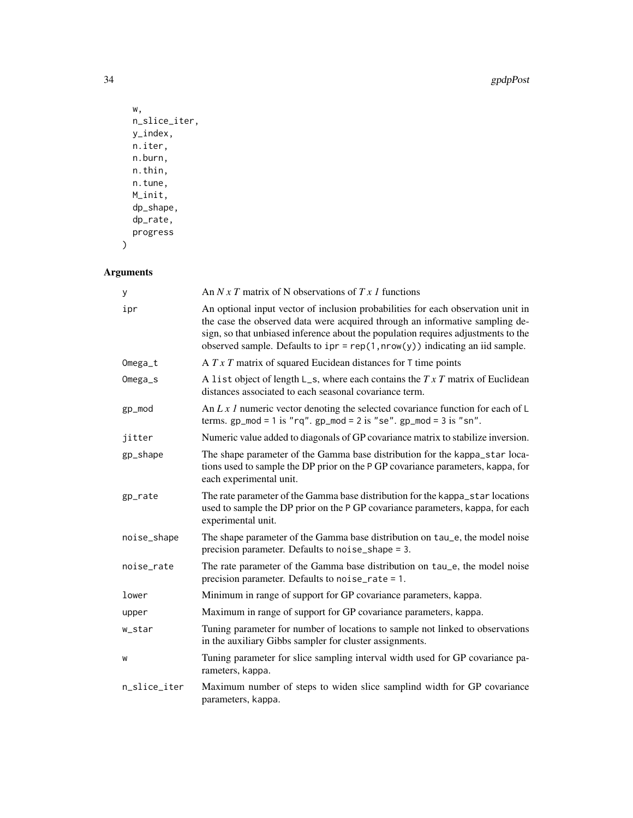34 gpdpPost

```
w,
n_slice_iter,
y_index,
n.iter,
n.burn,
n.thin,
n.tune,
M_init,
dp_shape,
dp_rate,
progress
```
## Arguments

 $\mathcal{L}$ 

| у            | An $N x T$ matrix of N observations of $T x I$ functions                                                                                                                                                                                                                                                                                |  |
|--------------|-----------------------------------------------------------------------------------------------------------------------------------------------------------------------------------------------------------------------------------------------------------------------------------------------------------------------------------------|--|
| ipr          | An optional input vector of inclusion probabilities for each observation unit in<br>the case the observed data were acquired through an informative sampling de-<br>sign, so that unbiased inference about the population requires adjustments to the<br>observed sample. Defaults to $ipr = rep(1, nrow(y))$ indicating an iid sample. |  |
| Omega_t      | A $T \times T$ matrix of squared Eucidean distances for T time points                                                                                                                                                                                                                                                                   |  |
| Omega_s      | A list object of length $L_s$ , where each contains the $TxT$ matrix of Euclidean<br>distances associated to each seasonal covariance term.                                                                                                                                                                                             |  |
| gp_mod       | An L x 1 numeric vector denoting the selected covariance function for each of $\mathsf{L}$<br>terms. $gp_{mod} = 1$ is "rq". $gp_{mod} = 2$ is "se". $gp_{mod} = 3$ is "sn".                                                                                                                                                            |  |
| jitter       | Numeric value added to diagonals of GP covariance matrix to stabilize inversion.                                                                                                                                                                                                                                                        |  |
| gp_shape     | The shape parameter of the Gamma base distribution for the kappa_star loca-<br>tions used to sample the DP prior on the P GP covariance parameters, kappa, for<br>each experimental unit.                                                                                                                                               |  |
| gp_rate      | The rate parameter of the Gamma base distribution for the kappa_star locations<br>used to sample the DP prior on the P GP covariance parameters, kappa, for each<br>experimental unit.                                                                                                                                                  |  |
| noise_shape  | The shape parameter of the Gamma base distribution on tau_e, the model noise<br>precision parameter. Defaults to noise_shape = 3.                                                                                                                                                                                                       |  |
| noise_rate   | The rate parameter of the Gamma base distribution on tau_e, the model noise<br>precision parameter. Defaults to noise_rate = 1.                                                                                                                                                                                                         |  |
| lower        | Minimum in range of support for GP covariance parameters, kappa.                                                                                                                                                                                                                                                                        |  |
| upper        | Maximum in range of support for GP covariance parameters, kappa.                                                                                                                                                                                                                                                                        |  |
| w_star       | Tuning parameter for number of locations to sample not linked to observations<br>in the auxiliary Gibbs sampler for cluster assignments.                                                                                                                                                                                                |  |
| W            | Tuning parameter for slice sampling interval width used for GP covariance pa-<br>rameters, kappa.                                                                                                                                                                                                                                       |  |
| n_slice_iter | Maximum number of steps to widen slice samplind width for GP covariance<br>parameters, kappa.                                                                                                                                                                                                                                           |  |
|              |                                                                                                                                                                                                                                                                                                                                         |  |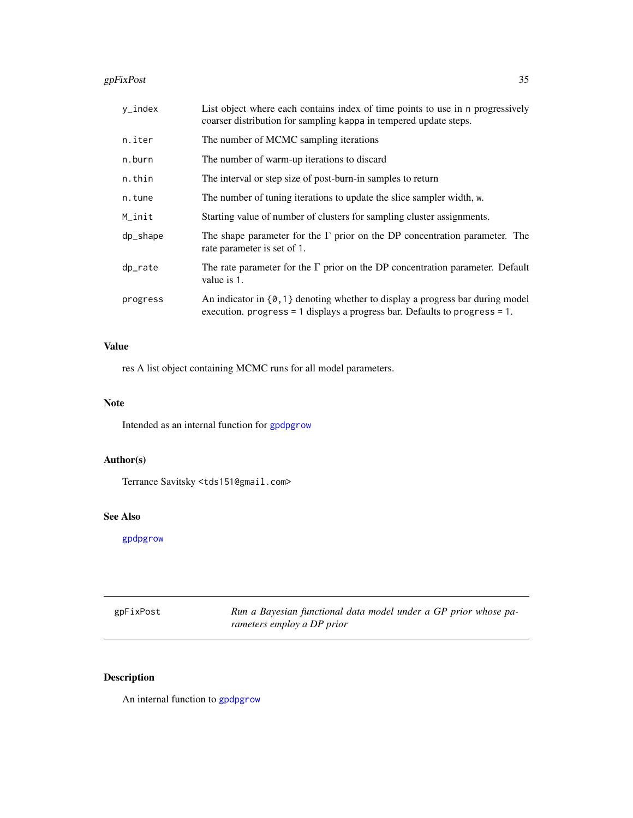#### <span id="page-34-0"></span> $g$ pFixPost $35$

| y_index  | List object where each contains index of time points to use in n progressively<br>coarser distribution for sampling kappa in tempered update steps.                 |  |
|----------|---------------------------------------------------------------------------------------------------------------------------------------------------------------------|--|
| n.iter   | The number of MCMC sampling iterations                                                                                                                              |  |
| n.burn   | The number of warm-up iterations to discard                                                                                                                         |  |
| n.thin   | The interval or step size of post-burn-in samples to return                                                                                                         |  |
| n.tune   | The number of tuning iterations to update the slice sampler width, w.                                                                                               |  |
| M_init   | Starting value of number of clusters for sampling cluster assignments.                                                                                              |  |
| dp_shape | The shape parameter for the $\Gamma$ prior on the DP concentration parameter. The<br>rate parameter is set of 1.                                                    |  |
| dp_rate  | The rate parameter for the $\Gamma$ prior on the DP concentration parameter. Default<br>value is 1.                                                                 |  |
| progress | An indicator in $\{0, 1\}$ denoting whether to display a progress bar during model<br>execution. progress = 1 displays a progress bar. Defaults to progress = $1$ . |  |

#### Value

res A list object containing MCMC runs for all model parameters.

#### Note

Intended as an internal function for [gpdpgrow](#page-28-1)

## Author(s)

Terrance Savitsky <tds151@gmail.com>

#### See Also

[gpdpgrow](#page-28-1)

gpFixPost *Run a Bayesian functional data model under a GP prior whose parameters employ a DP prior*

## Description

An internal function to [gpdpgrow](#page-28-1)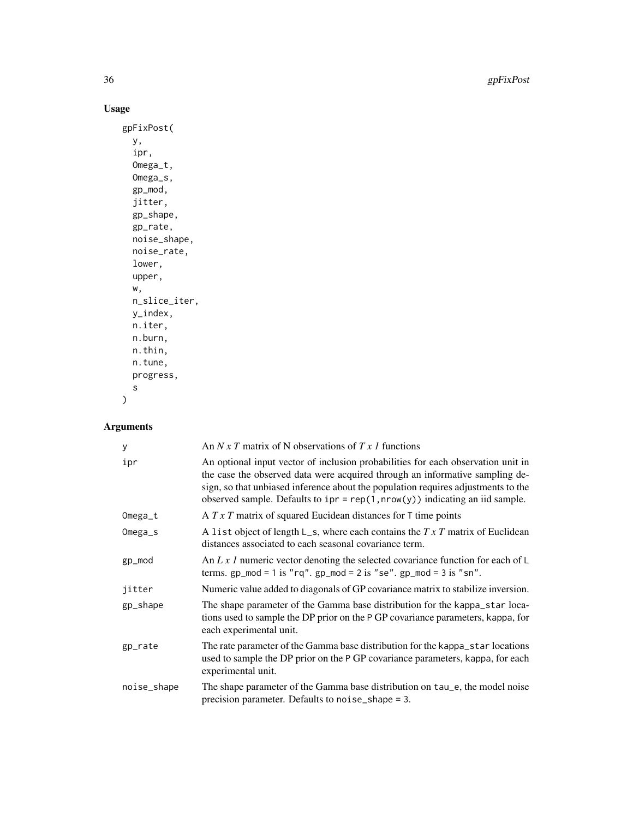36 gpFixPost

## Usage

```
gpFixPost(
  y,
  ipr,
  Omega_t,
  Omega_s,
  gp_mod,
  jitter,
  gp_shape,
  gp_rate,
  noise_shape,
  noise_rate,
  lower,
  upper,
  w,
  n_slice_iter,
  y_index,
  n.iter,
  n.burn,
  n.thin,
  n.tune,
  progress,
  s
)
```
## Arguments

| у           | An N x T matrix of N observations of T x 1 functions                                                                                                                                                                                                                                                                                    |
|-------------|-----------------------------------------------------------------------------------------------------------------------------------------------------------------------------------------------------------------------------------------------------------------------------------------------------------------------------------------|
| ipr         | An optional input vector of inclusion probabilities for each observation unit in<br>the case the observed data were acquired through an informative sampling de-<br>sign, so that unbiased inference about the population requires adjustments to the<br>observed sample. Defaults to $ipr = rep(1, nrow(y))$ indicating an iid sample. |
| Omega_t     | A $T \times T$ matrix of squared Eucidean distances for T time points                                                                                                                                                                                                                                                                   |
| Omega_s     | A list object of length $L_s$ , where each contains the $TxT$ matrix of Euclidean<br>distances associated to each seasonal covariance term.                                                                                                                                                                                             |
| gp_mod      | An L x 1 numeric vector denoting the selected covariance function for each of $\mathsf{L}$<br>terms. $gp_{mod} = 1$ is "rq". $gp_{mod} = 2$ is "se". $gp_{mod} = 3$ is "sn".                                                                                                                                                            |
| jitter      | Numeric value added to diagonals of GP covariance matrix to stabilize inversion.                                                                                                                                                                                                                                                        |
| gp_shape    | The shape parameter of the Gamma base distribution for the kappa_star loca-<br>tions used to sample the DP prior on the P GP covariance parameters, kappa, for<br>each experimental unit.                                                                                                                                               |
| gp_rate     | The rate parameter of the Gamma base distribution for the kappa_star locations<br>used to sample the DP prior on the P GP covariance parameters, kappa, for each<br>experimental unit.                                                                                                                                                  |
| noise_shape | The shape parameter of the Gamma base distribution on tau_e, the model noise<br>precision parameter. Defaults to noise_shape = 3.                                                                                                                                                                                                       |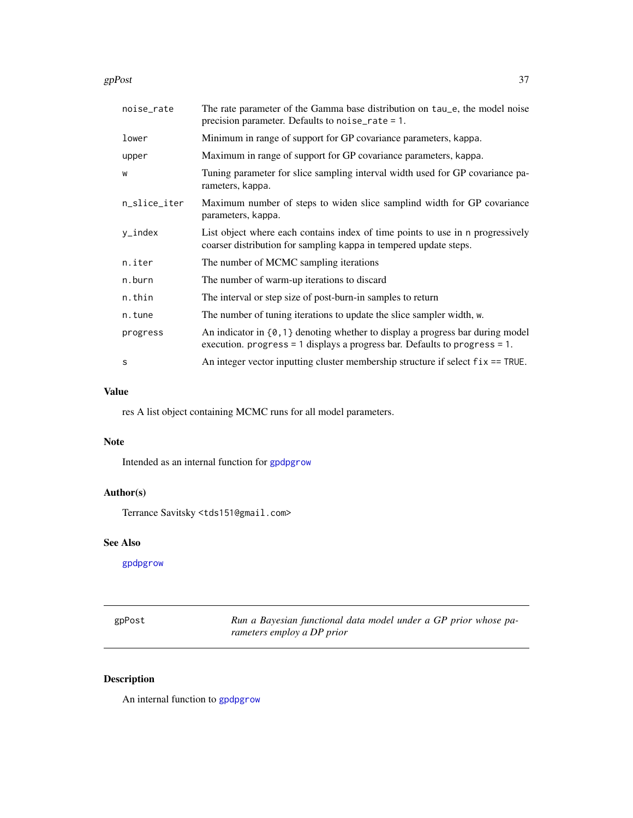<span id="page-36-0"></span>gpPost  $\frac{37}{2}$ 

| noise_rate   | The rate parameter of the Gamma base distribution on tau_e, the model noise<br>precision parameter. Defaults to noise_rate = $1$ .                                   |
|--------------|----------------------------------------------------------------------------------------------------------------------------------------------------------------------|
| lower        | Minimum in range of support for GP covariance parameters, kappa.                                                                                                     |
| upper        | Maximum in range of support for GP covariance parameters, kappa.                                                                                                     |
| W            | Tuning parameter for slice sampling interval width used for GP covariance pa-<br>rameters, kappa.                                                                    |
| n_slice_iter | Maximum number of steps to widen slice samplind width for GP covariance<br>parameters, kappa.                                                                        |
| y_index      | List object where each contains index of time points to use in a progressively<br>coarser distribution for sampling kappa in tempered update steps.                  |
| n.iter       | The number of MCMC sampling iterations                                                                                                                               |
| n.burn       | The number of warm-up iterations to discard                                                                                                                          |
| n.thin       | The interval or step size of post-burn-in samples to return                                                                                                          |
| n.tune       | The number of tuning iterations to update the slice sampler width, w.                                                                                                |
| progress     | An indicator in $\{0,1\}$ denoting whether to display a progress bar during model<br>execution. progress = $1$ displays a progress bar. Defaults to progress = $1$ . |
| S            | An integer vector inputting cluster membership structure if select $fix = TRUE$ .                                                                                    |

## Value

res A list object containing MCMC runs for all model parameters.

#### Note

Intended as an internal function for [gpdpgrow](#page-28-1)

## Author(s)

Terrance Savitsky <tds151@gmail.com>

## See Also

[gpdpgrow](#page-28-1)

| gpPost | Run a Bayesian functional data model under a GP prior whose pa- |
|--------|-----------------------------------------------------------------|
|        | rameters employ a DP prior                                      |

## Description

An internal function to [gpdpgrow](#page-28-1)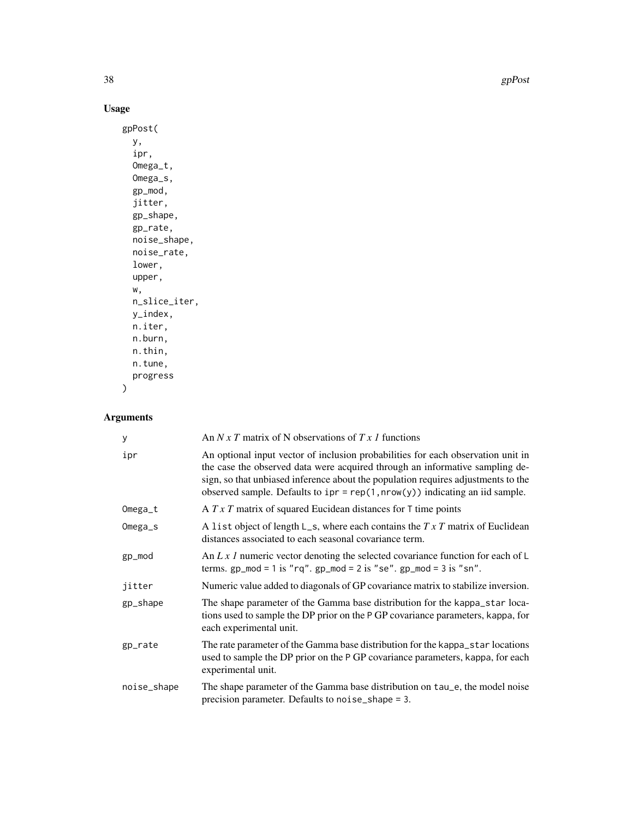38 gpPost and the contract of the contract of the contract of the contract of the contract of the contract of the contract of the contract of the contract of the contract of the contract of the contract of the contract of

## Usage

```
gpPost(
  y,
  ipr,
  Omega_t,
  Omega_s,
  gp_mod,
  jitter,
  gp_shape,
  gp_rate,
  noise_shape,
  noise_rate,
  lower,
  upper,
  w,
  n_slice_iter,
  y_index,
  n.iter,
  n.burn,
  n.thin,
  n.tune,
  progress
)
```
## Arguments

| У           | An $N x T$ matrix of N observations of $T x 1$ functions                                                                                                                                                                                                                                                                                |
|-------------|-----------------------------------------------------------------------------------------------------------------------------------------------------------------------------------------------------------------------------------------------------------------------------------------------------------------------------------------|
| ipr         | An optional input vector of inclusion probabilities for each observation unit in<br>the case the observed data were acquired through an informative sampling de-<br>sign, so that unbiased inference about the population requires adjustments to the<br>observed sample. Defaults to $ipr = rep(1, nrow(y))$ indicating an iid sample. |
| $Omega_t$   | A $T \times T$ matrix of squared Eucidean distances for T time points                                                                                                                                                                                                                                                                   |
| Omega_s     | A list object of length $L_s$ , where each contains the $TxT$ matrix of Euclidean<br>distances associated to each seasonal covariance term.                                                                                                                                                                                             |
| gp_mod      | An L x 1 numeric vector denoting the selected covariance function for each of $\mathsf{L}$<br>terms. $gp_{mod} = 1$ is "rq". $gp_{mod} = 2$ is "se". $gp_{mod} = 3$ is "sn".                                                                                                                                                            |
| jitter      | Numeric value added to diagonals of GP covariance matrix to stabilize inversion.                                                                                                                                                                                                                                                        |
| gp_shape    | The shape parameter of the Gamma base distribution for the kappa_star loca-<br>tions used to sample the DP prior on the P GP covariance parameters, kappa, for<br>each experimental unit.                                                                                                                                               |
| gp_rate     | The rate parameter of the Gamma base distribution for the kappa_star locations<br>used to sample the DP prior on the P GP covariance parameters, kappa, for each<br>experimental unit.                                                                                                                                                  |
| noise_shape | The shape parameter of the Gamma base distribution on tau_e, the model noise<br>precision parameter. Defaults to noise_shape = 3.                                                                                                                                                                                                       |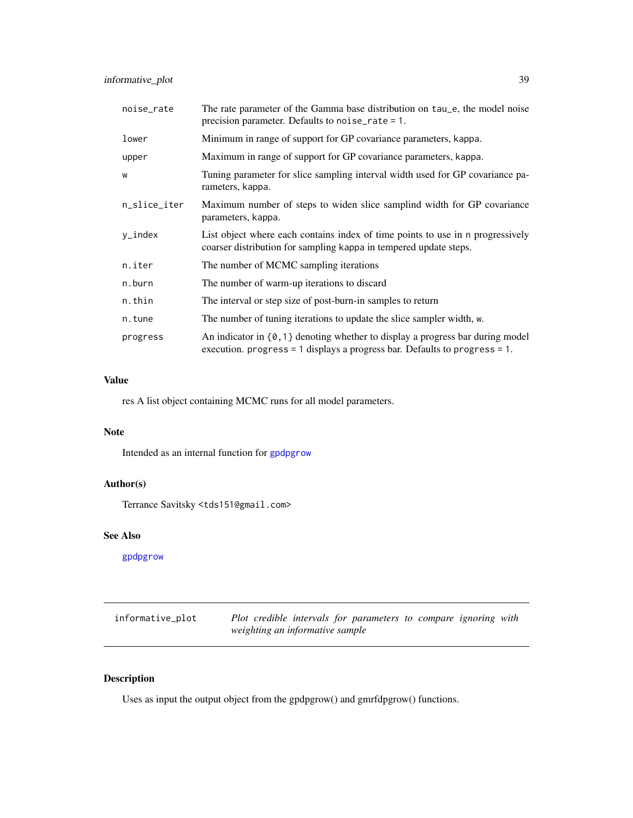<span id="page-38-0"></span>

| noise_rate   | The rate parameter of the Gamma base distribution on tau <sub>-e</sub> , the model noise<br>precision parameter. Defaults to noise_rate = 1.                       |  |
|--------------|--------------------------------------------------------------------------------------------------------------------------------------------------------------------|--|
| lower        | Minimum in range of support for GP covariance parameters, kappa.                                                                                                   |  |
| upper        | Maximum in range of support for GP covariance parameters, kappa.                                                                                                   |  |
| W            | Tuning parameter for slice sampling interval width used for GP covariance pa-<br>rameters, kappa.                                                                  |  |
| n_slice_iter | Maximum number of steps to widen slice samplind width for GP covariance<br>parameters, kappa.                                                                      |  |
| y_index      | List object where each contains index of time points to use in n progressively<br>coarser distribution for sampling kappa in tempered update steps.                |  |
| n.iter       | The number of MCMC sampling iterations                                                                                                                             |  |
| n.burn       | The number of warm-up iterations to discard                                                                                                                        |  |
| n.thin       | The interval or step size of post-burn-in samples to return                                                                                                        |  |
| n.tune       | The number of tuning iterations to update the slice sampler width, w.                                                                                              |  |
| progress     | An indicator in $\{0,1\}$ denoting whether to display a progress bar during model<br>execution. progress = 1 displays a progress bar. Defaults to progress = $1$ . |  |

#### Value

res A list object containing MCMC runs for all model parameters.

#### Note

Intended as an internal function for [gpdpgrow](#page-28-1)

## Author(s)

Terrance Savitsky <tds151@gmail.com>

## See Also

[gpdpgrow](#page-28-1)

<span id="page-38-1"></span>

| informative_plot | Plot credible intervals for parameters to compare ignoring with |  |
|------------------|-----------------------------------------------------------------|--|
|                  | weighting an informative sample                                 |  |

## Description

Uses as input the output object from the gpdpgrow() and gmrfdpgrow() functions.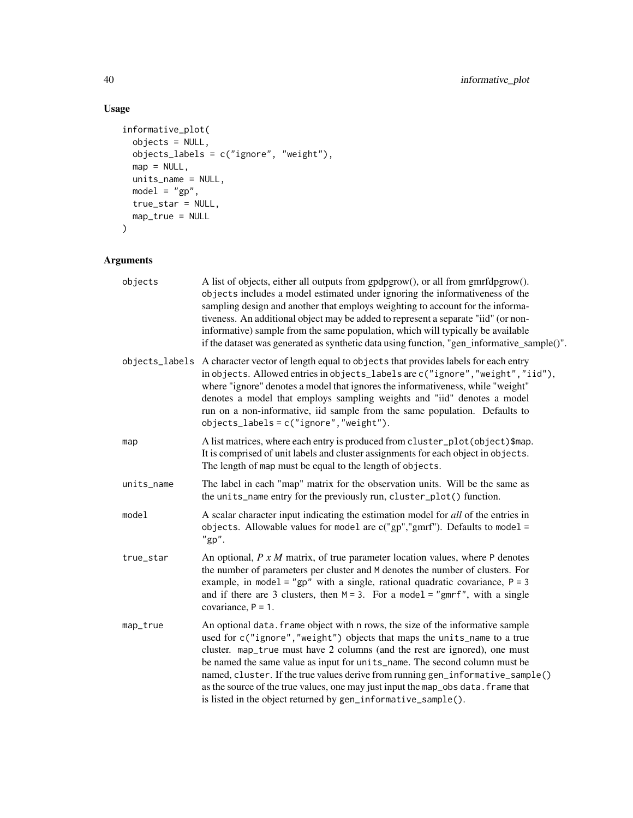## Usage

```
informative_plot(
 objects = NULL,
 objects_labels = c("ignore", "weight"),
 map = NULL,units_name = NULL,
 model = "gp",true_star = NULL,
 map_true = NULL
\mathcal{L}
```
## Arguments

| objects    | A list of objects, either all outputs from gpdpgrow(), or all from gmrfdpgrow().<br>objects includes a model estimated under ignoring the informativeness of the<br>sampling design and another that employs weighting to account for the informa-<br>tiveness. An additional object may be added to represent a separate "iid" (or non-<br>informative) sample from the same population, which will typically be available<br>if the dataset was generated as synthetic data using function, "gen_informative_sample()".                                        |
|------------|------------------------------------------------------------------------------------------------------------------------------------------------------------------------------------------------------------------------------------------------------------------------------------------------------------------------------------------------------------------------------------------------------------------------------------------------------------------------------------------------------------------------------------------------------------------|
|            | objects_labels A character vector of length equal to objects that provides labels for each entry<br>in objects. Allowed entries in objects_labels are c("ignore", "weight", "iid"),<br>where "ignore" denotes a model that ignores the informativeness, while "weight"<br>denotes a model that employs sampling weights and "iid" denotes a model<br>run on a non-informative, iid sample from the same population. Defaults to<br>$objects \_labels = c("ignore", "weight").$                                                                                   |
| map        | A list matrices, where each entry is produced from cluster_plot(object)\$map.<br>It is comprised of unit labels and cluster assignments for each object in objects.<br>The length of map must be equal to the length of objects.                                                                                                                                                                                                                                                                                                                                 |
| units_name | The label in each "map" matrix for the observation units. Will be the same as<br>the units_name entry for the previously run, cluster_plot() function.                                                                                                                                                                                                                                                                                                                                                                                                           |
| model      | A scalar character input indicating the estimation model for all of the entries in<br>objects. Allowable values for model are $c("gp", "gmr")$ . Defaults to model =<br>" $gp$ ".                                                                                                                                                                                                                                                                                                                                                                                |
| true_star  | An optional, $P x M$ matrix, of true parameter location values, where $P$ denotes<br>the number of parameters per cluster and M denotes the number of clusters. For<br>example, in model = "gp" with a single, rational quadratic covariance, $P = 3$<br>and if there are 3 clusters, then $M = 3$ . For a model = "gmrf", with a single<br>covariance, $P = 1$ .                                                                                                                                                                                                |
| map_true   | An optional data. frame object with n rows, the size of the informative sample<br>used for c("ignore", "weight") objects that maps the units_name to a true<br>cluster. map_true must have 2 columns (and the rest are ignored), one must<br>be named the same value as input for units_name. The second column must be<br>named, cluster. If the true values derive from running gen_informative_sample()<br>as the source of the true values, one may just input the map_obs data. frame that<br>is listed in the object returned by gen_informative_sample(). |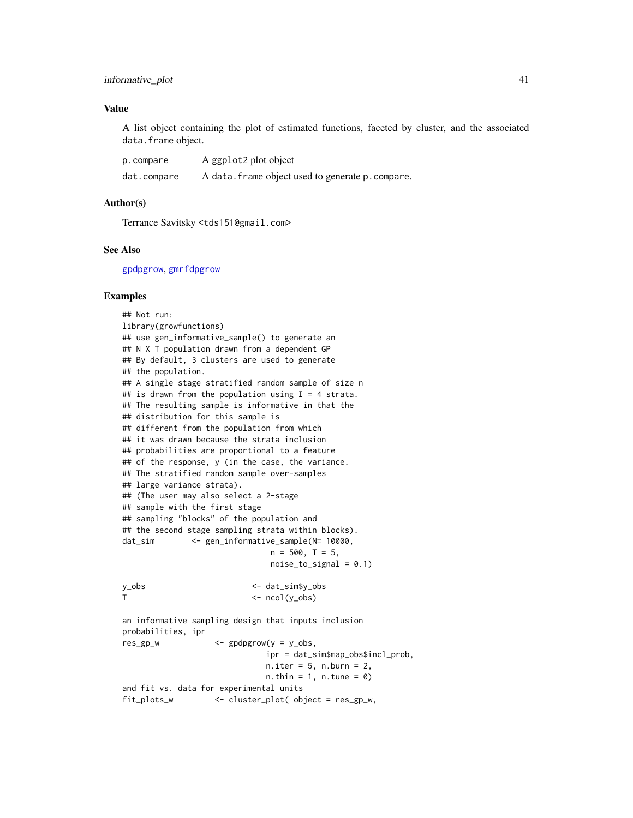#### <span id="page-40-0"></span>informative\_plot 41

#### Value

A list object containing the plot of estimated functions, faceted by cluster, and the associated data.frame object.

| p.compare   | A ggplot2 plot object                             |
|-------------|---------------------------------------------------|
| dat.compare | A data. frame object used to generate p. compare. |

#### Author(s)

Terrance Savitsky <tds151@gmail.com>

#### See Also

[gpdpgrow](#page-28-1), [gmrfdpgrow](#page-17-1)

#### Examples

## Not run: library(growfunctions) ## use gen\_informative\_sample() to generate an ## N X T population drawn from a dependent GP ## By default, 3 clusters are used to generate ## the population. ## A single stage stratified random sample of size n ## is drawn from the population using  $I = 4$  strata. ## The resulting sample is informative in that the ## distribution for this sample is ## different from the population from which ## it was drawn because the strata inclusion ## probabilities are proportional to a feature ## of the response, y (in the case, the variance. ## The stratified random sample over-samples ## large variance strata). ## (The user may also select a 2-stage ## sample with the first stage ## sampling "blocks" of the population and ## the second stage sampling strata within blocks). dat\_sim <- gen\_informative\_sample(N= 10000,  $n = 500, T = 5,$  $noise_to$ \_signal =  $0.1$ ) y\_obs <- dat\_sim\$y\_obs T <- ncol(y\_obs) an informative sampling design that inputs inclusion probabilities, ipr res\_gp\_w <- gpdpgrow(y = y\_obs, ipr = dat\_sim\$map\_obs\$incl\_prob,  $n.$ iter = 5,  $n.$ burn = 2,  $n.$  thin = 1,  $n.$  tune = 0) and fit vs. data for experimental units fit\_plots\_w <- cluster\_plot( object = res\_gp\_w,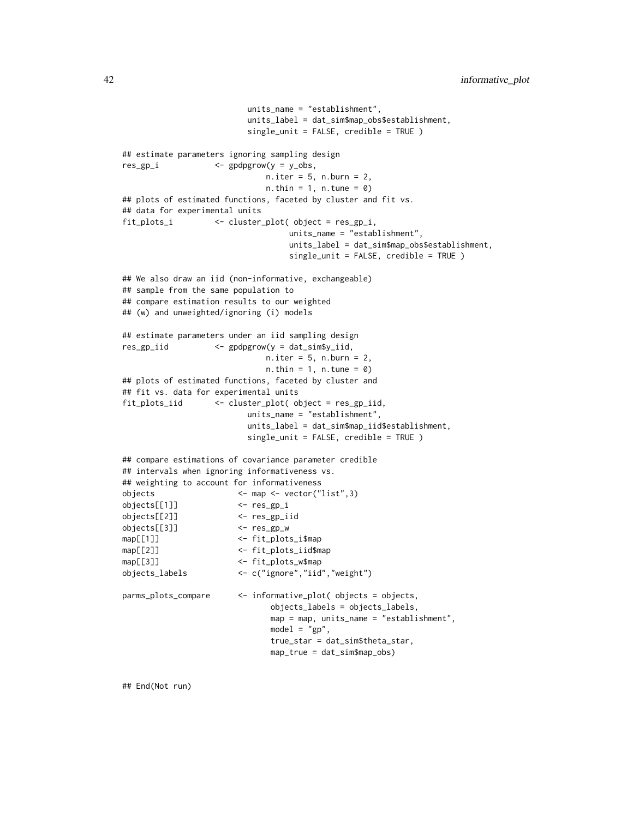```
units_name = "establishment",
                         units_label = dat_sim$map_obs$establishment,
                         single_unit = FALSE, credible = TRUE )
## estimate parameters ignoring sampling design
res_gp_i <- gpdpgrow(y = y_obs,
                            n.iter = 5, n.burn = 2,
                            n. thin = 1, n. tune = 0)
## plots of estimated functions, faceted by cluster and fit vs.
## data for experimental units
fit_plots_i <- cluster_plot( object = res_gp_i,
                                 units_name = "establishment",
                                 units_label = dat_sim$map_obs$establishment,
                                 single_unit = FALSE, credible = TRUE )
## We also draw an iid (non-informative, exchangeable)
## sample from the same population to
## compare estimation results to our weighted
## (w) and unweighted/ignoring (i) models
## estimate parameters under an iid sampling design
res_gp_iid <- gpdpgrow(y = dat_sim$y_iid,
                            n.iter = 5, n.burn = 2,n. thin = 1, n. tune = 0)
## plots of estimated functions, faceted by cluster and
## fit vs. data for experimental units
fit_plots_iid <- cluster_plot( object = res_gp_iid,
                        units_name = "establishment",
                         units_label = dat_sim$map_iid$establishment,
                         single_unit = FALSE, credible = TRUE )
## compare estimations of covariance parameter credible
## intervals when ignoring informativeness vs.
## weighting to account for informativeness
objects <- map <- vector("list",3)
objects[[1]] <- res_gp_i
objects[[2]] <- res_gp_iid
objects[[3]] <- res_gp_w
map[[1]] <- fit_plots_i$map
map[[2]] <- fit_plots_iid$map
map[[3]] <- fit_plots_w$map
objects_labels <- c("ignore","iid","weight")
parms_plots_compare <- informative_plot( objects = objects,
                             objects_labels = objects_labels,
                             map = map, units_name = "establishment",
                             model = "gp",true_star = dat_sim$theta_star,
                             map_true = dat_sim$map_obs)
```
## End(Not run)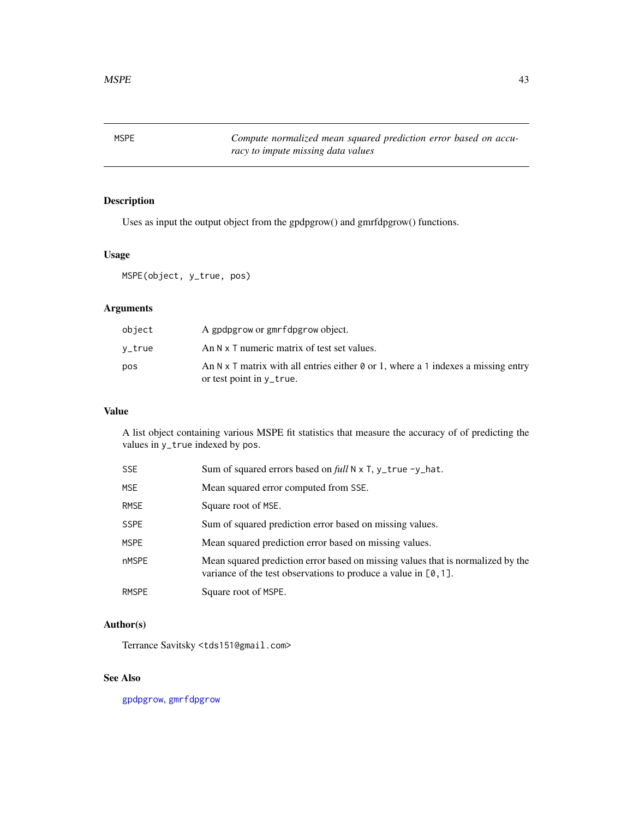<span id="page-42-1"></span><span id="page-42-0"></span>MSPE *Compute normalized mean squared prediction error based on accuracy to impute missing data values*

#### Description

Uses as input the output object from the gpdpgrow() and gmrfdpgrow() functions.

#### Usage

MSPE(object, y\_true, pos)

#### Arguments

| object | A gpdpgrow or gmrfdpgrow object.                                                         |
|--------|------------------------------------------------------------------------------------------|
| v_true | An N x T numeric matrix of test set values.                                              |
| pos    | An N x T matrix with all entries either $\theta$ or 1, where a 1 indexes a missing entry |
|        | or test point in y_true.                                                                 |

## Value

A list object containing various MSPE fit statistics that measure the accuracy of of predicting the values in y\_true indexed by pos.

| SSE         | Sum of squared errors based on full N x T, y_true -y_hat.                                                                                             |
|-------------|-------------------------------------------------------------------------------------------------------------------------------------------------------|
| MSE.        | Mean squared error computed from SSE.                                                                                                                 |
| <b>RMSE</b> | Square root of MSE.                                                                                                                                   |
| <b>SSPE</b> | Sum of squared prediction error based on missing values.                                                                                              |
| <b>MSPE</b> | Mean squared prediction error based on missing values.                                                                                                |
| nMSPE       | Mean squared prediction error based on missing values that is normalized by the<br>variance of the test observations to produce a value in $[0, 1]$ . |
| RMSPE       | Square root of MSPE.                                                                                                                                  |

#### Author(s)

Terrance Savitsky <tds151@gmail.com>

#### See Also

[gpdpgrow](#page-28-1), [gmrfdpgrow](#page-17-1)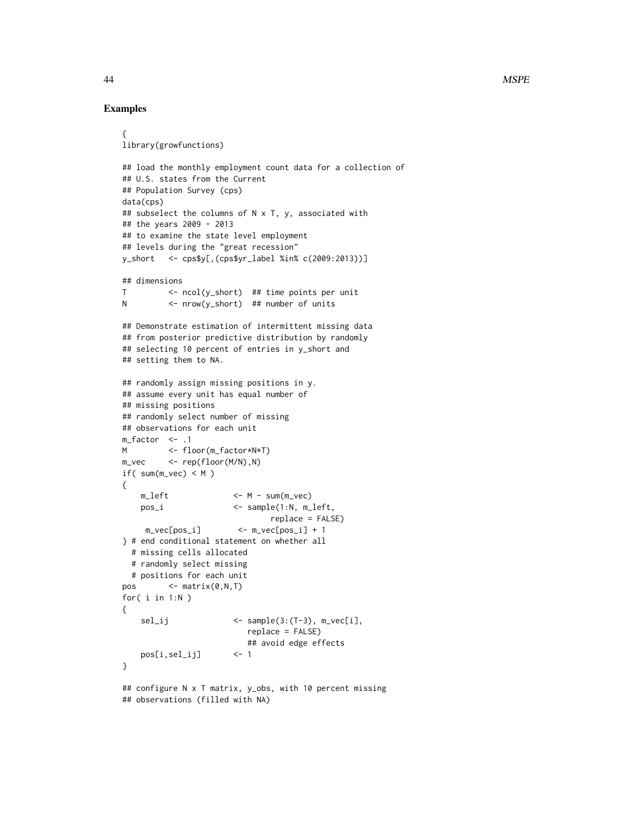#### Examples

```
{
library(growfunctions)
## load the monthly employment count data for a collection of
## U.S. states from the Current
## Population Survey (cps)
data(cps)
## subselect the columns of N x T, y, associated with
## the years 2009 - 2013
## to examine the state level employment
## levels during the "great recession"
y_short <- cps$y[,(cps$yr_label %in% c(2009:2013))]
## dimensions
T <- ncol(y_short) ## time points per unit
N <- nrow(y_short) ## number of units
## Demonstrate estimation of intermittent missing data
## from posterior predictive distribution by randomly
## selecting 10 percent of entries in y_short and
## setting them to NA.
## randomly assign missing positions in y.
## assume every unit has equal number of
## missing positions
## randomly select number of missing
## observations for each unit
m_factor \leq .1
M <- floor(m_factor*N*T)
m_vec <- rep(floor(M/N),N)
if( sum(m_vec) < M )
{
   m_{\text{left}} <- M - sum(m_{\text{right}})
   pos_i <- sample(1:N, m_left,
                               replace = FALSE)
    m_vec[pos_i] <- m_vec[pos_i] + 1
} # end conditional statement on whether all
 # missing cells allocated
 # randomly select missing
 # positions for each unit
pos \leftarrow matrix(0, N, T)for( i in 1:N )
{
    sel_ij <- sample(3:(T-3), m_vec[i],
                          replace = FALSE)
                          ## avoid edge effects
   pos[i,sel_ij] <- 1
}
## configure N x T matrix, y_obs, with 10 percent missing
## observations (filled with NA)
```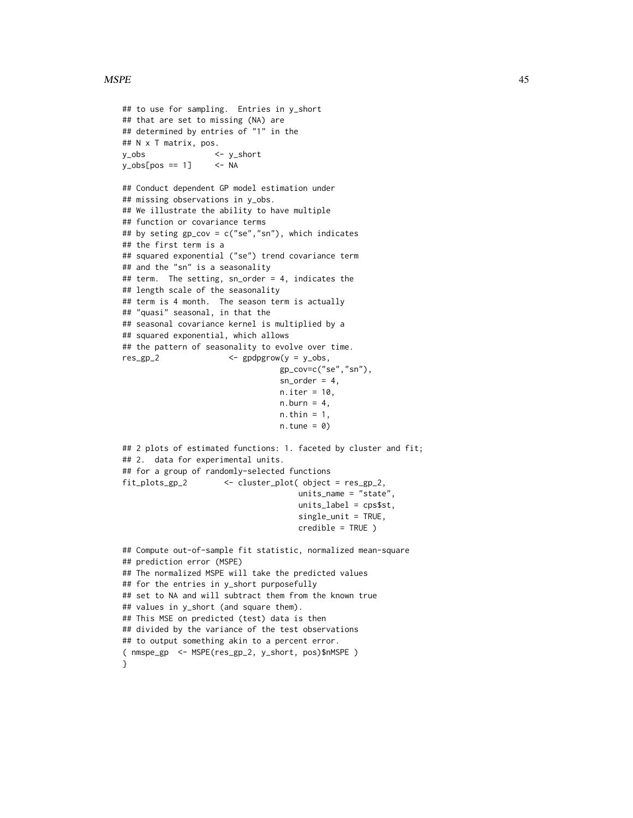#### $MSPE$  and the set of the set of the set of the set of the set of the set of the set of the set of the set of the set of the set of the set of the set of the set of the set of the set of the set of the set of the set of th

```
## to use for sampling. Entries in y_short
## that are set to missing (NA) are
## determined by entries of "1" in the
## N x T matrix, pos.
y_obs <- y_short
y_obs[pos == 1] <- NA
## Conduct dependent GP model estimation under
## missing observations in y_obs.
## We illustrate the ability to have multiple
## function or covariance terms
## by seting gp_cov = c("se","sn"), which indicates
## the first term is a
## squared exponential ("se") trend covariance term
## and the "sn" is a seasonality
## term. The setting, sn_order = 4, indicates the
## length scale of the seasonality
## term is 4 month. The season term is actually
## "quasi" seasonal, in that the
## seasonal covariance kernel is multiplied by a
## squared exponential, which allows
## the pattern of seasonality to evolve over time.
res_gp_2 <- gpdpgrow(y = y_obs,
                                 gp_cov=c("se","sn"),
                                 sn\_order = 4,
                                 n.iter = 10,
                                 n.burn = 4,
                                 n.thin = 1,
                                 n.tune = 0)## 2 plots of estimated functions: 1. faceted by cluster and fit;
## 2. data for experimental units.
## for a group of randomly-selected functions
fit_plots_gp_2 <- cluster_plot( object = res_gp_2,
                                     units_name = "state",
                                     units_label = cps$st,
                                     single_unit = TRUE,
                                     credible = TRUE )
## Compute out-of-sample fit statistic, normalized mean-square
## prediction error (MSPE)
## The normalized MSPE will take the predicted values
## for the entries in y_short purposefully
## set to NA and will subtract them from the known true
## values in y_short (and square them).
## This MSE on predicted (test) data is then
## divided by the variance of the test observations
## to output something akin to a percent error.
( nmspe_gp <- MSPE(res_gp_2, y_short, pos)$nMSPE )
}
```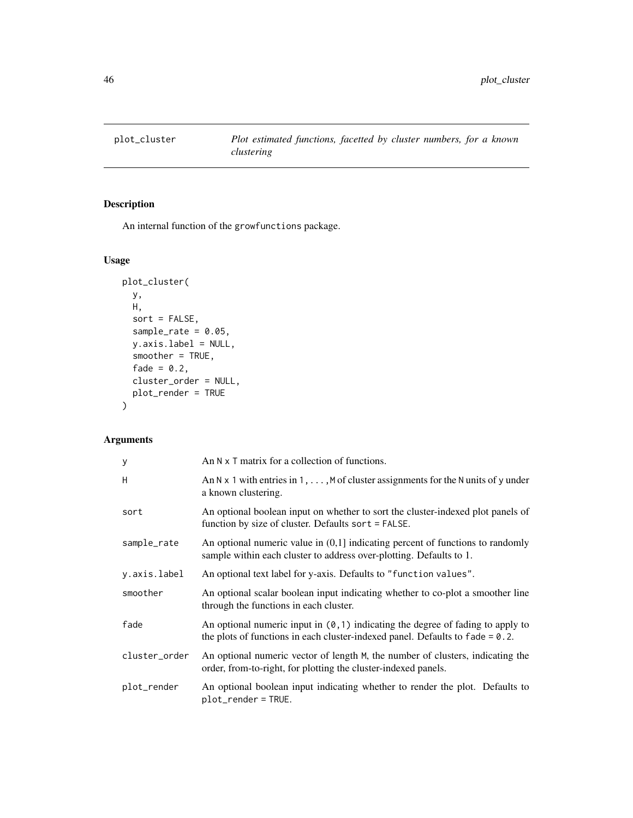<span id="page-45-0"></span>

## Description

An internal function of the growfunctions package.

#### Usage

```
plot_cluster(
 y,
 H,
  sort = FALSE,sample_rate = 0.05,
 y.axis.label = NULL,
  smoother = TRUE,
  fade = 0.2,
 cluster_order = NULL,
 plot_render = TRUE
)
```
#### Arguments

| У             | An $N \times T$ matrix for a collection of functions.                                                                                                                      |
|---------------|----------------------------------------------------------------------------------------------------------------------------------------------------------------------------|
| H             | An N x 1 with entries in 1, $\dots$ , M of cluster assignments for the N units of y under<br>a known clustering.                                                           |
| sort          | An optional boolean input on whether to sort the cluster-indexed plot panels of<br>function by size of cluster. Defaults sort = FALSE.                                     |
| sample_rate   | An optional numeric value in $(0,1]$ indicating percent of functions to randomly<br>sample within each cluster to address over-plotting. Defaults to 1.                    |
| y.axis.label  | An optional text label for y-axis. Defaults to "function values".                                                                                                          |
| smoother      | An optional scalar boolean input indicating whether to co-plot a smoother line<br>through the functions in each cluster.                                                   |
| fade          | An optional numeric input in $(0, 1)$ indicating the degree of fading to apply to<br>the plots of functions in each cluster-indexed panel. Defaults to $f$ and $e = 0.2$ . |
| cluster_order | An optional numeric vector of length M, the number of clusters, indicating the<br>order, from-to-right, for plotting the cluster-indexed panels.                           |
| plot_render   | An optional boolean input indicating whether to render the plot. Defaults to<br>plot_render = TRUE.                                                                        |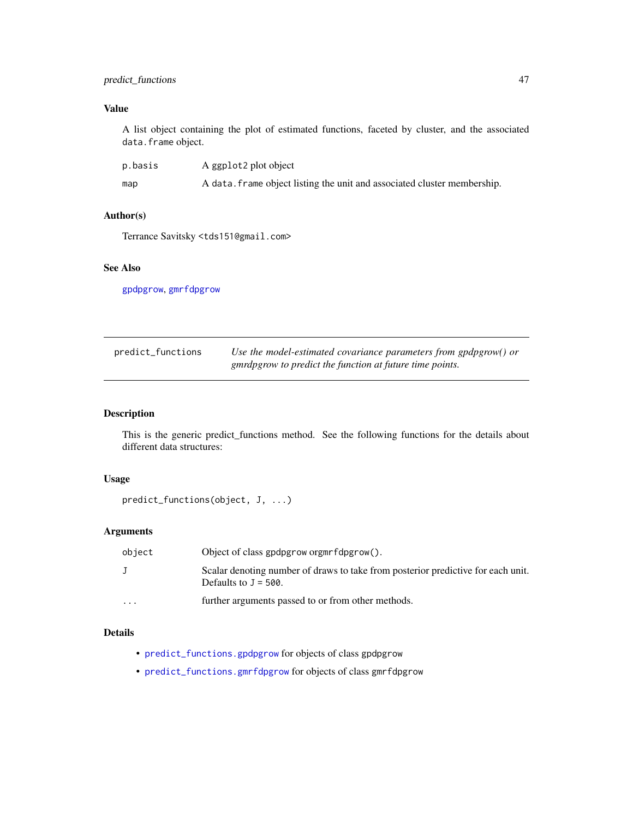#### <span id="page-46-0"></span>predict\_functions 47

## Value

A list object containing the plot of estimated functions, faceted by cluster, and the associated data.frame object.

| p.basis | A ggplot2 plot object                                                    |
|---------|--------------------------------------------------------------------------|
| map     | A data. frame object listing the unit and associated cluster membership. |

#### Author(s)

Terrance Savitsky <tds151@gmail.com>

## See Also

[gpdpgrow](#page-28-1), [gmrfdpgrow](#page-17-1)

<span id="page-46-1"></span>

| predict_functions | Use the model-estimated covariance parameters from gpdpgrow() or |
|-------------------|------------------------------------------------------------------|
|                   | gmrdpgrow to predict the function at future time points.         |

#### Description

This is the generic predict\_functions method. See the following functions for the details about different data structures:

#### Usage

```
predict_functions(object, J, ...)
```
#### Arguments

| object   | Object of class gpdpgrow orgmrfdpgrow().                                                                    |
|----------|-------------------------------------------------------------------------------------------------------------|
|          | Scalar denoting number of draws to take from posterior predictive for each unit.<br>Defaults to $J = 500$ . |
| $\cdots$ | further arguments passed to or from other methods.                                                          |

#### Details

- [predict\\_functions.gpdpgrow](#page-48-1) for objects of class gpdpgrow
- [predict\\_functions.gmrfdpgrow](#page-47-1) for objects of class gmrfdpgrow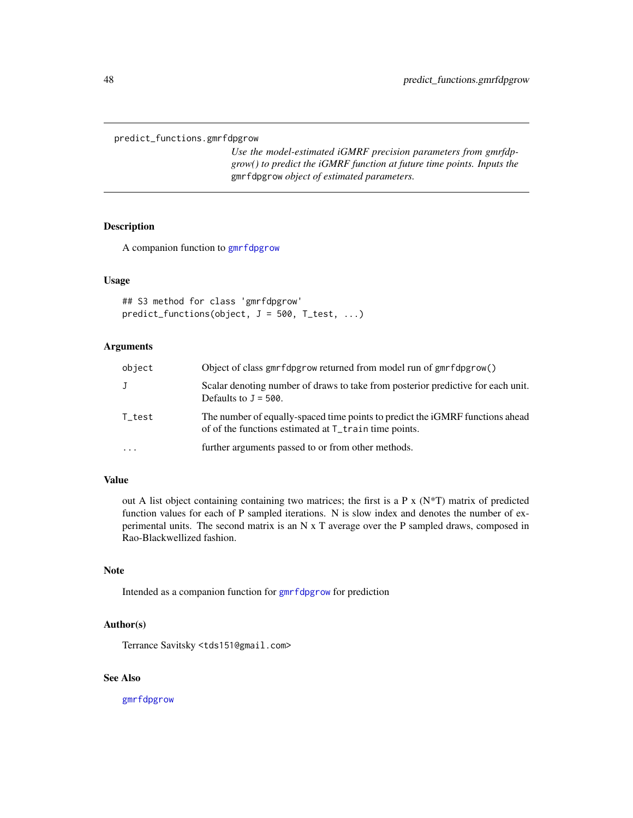<span id="page-47-1"></span><span id="page-47-0"></span>predict\_functions.gmrfdpgrow

*Use the model-estimated iGMRF precision parameters from gmrfdpgrow() to predict the iGMRF function at future time points. Inputs the* gmrfdpgrow *object of estimated parameters.*

#### Description

A companion function to [gmrfdpgrow](#page-17-1)

#### Usage

```
## S3 method for class 'gmrfdpgrow'
predict_functions(object, J = 500, T_test, ...)
```
#### Arguments

| object     | Object of class gmrfdpgrow returned from model run of gmrfdpgrow()                                                                                 |
|------------|----------------------------------------------------------------------------------------------------------------------------------------------------|
| J          | Scalar denoting number of draws to take from posterior predictive for each unit.<br>Defaults to $J = 500$ .                                        |
| T_test     | The number of equally-spaced time points to predict the iGMRF functions ahead<br>of of the functions estimated at T <sub>_train</sub> time points. |
| $\ddots$ . | further arguments passed to or from other methods.                                                                                                 |

#### Value

out A list object containing containing two matrices; the first is a P x ( $N<sup>*</sup>T$ ) matrix of predicted function values for each of P sampled iterations. N is slow index and denotes the number of experimental units. The second matrix is an N x T average over the P sampled draws, composed in Rao-Blackwellized fashion.

#### Note

Intended as a companion function for [gmrfdpgrow](#page-17-1) for prediction

#### Author(s)

Terrance Savitsky <tds151@gmail.com>

#### See Also

[gmrfdpgrow](#page-17-1)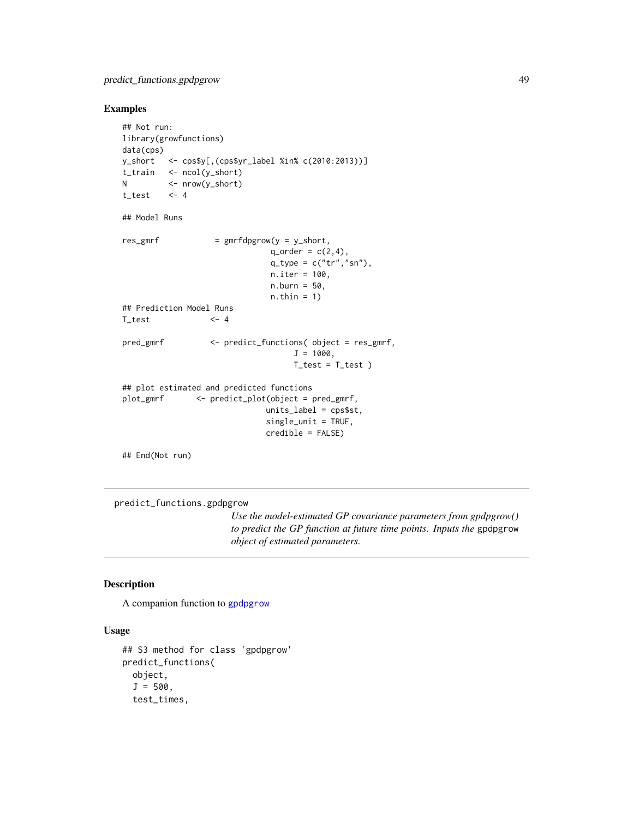#### <span id="page-48-0"></span>Examples

```
## Not run:
library(growfunctions)
data(cps)
y_short <- cps$y[,(cps$yr_label %in% c(2010:2013))]
t_train <- ncol(y_short)
N <- nrow(y_short)
t_test <- 4
## Model Runs
res\_gmrf = gmrfdpgrow(y = y\_short,q_{\text{order}} = c(2, 4),
                              q_t ype = c("tr", "sn"),
                              n.iter = 100,
                              n.burn = 50,
                              n.thin = 1)
## Prediction Model Runs
T_{\text{test}} <- 4
pred_gmrf <- predict_functions( object = res_gmrf,
                                   J = 1000,T_test = T_test)
## plot estimated and predicted functions
plot_gmrf <- predict_plot(object = pred_gmrf,
                             units_label = cps$st,
                             single_unit = TRUE,
                             credible = FALSE)
```
## End(Not run)

<span id="page-48-1"></span>predict\_functions.gpdpgrow

*Use the model-estimated GP covariance parameters from gpdpgrow() to predict the GP function at future time points. Inputs the* gpdpgrow *object of estimated parameters.*

#### Description

A companion function to [gpdpgrow](#page-28-1)

## Usage

```
## S3 method for class 'gpdpgrow'
predict_functions(
 object,
  J = 500,test_times,
```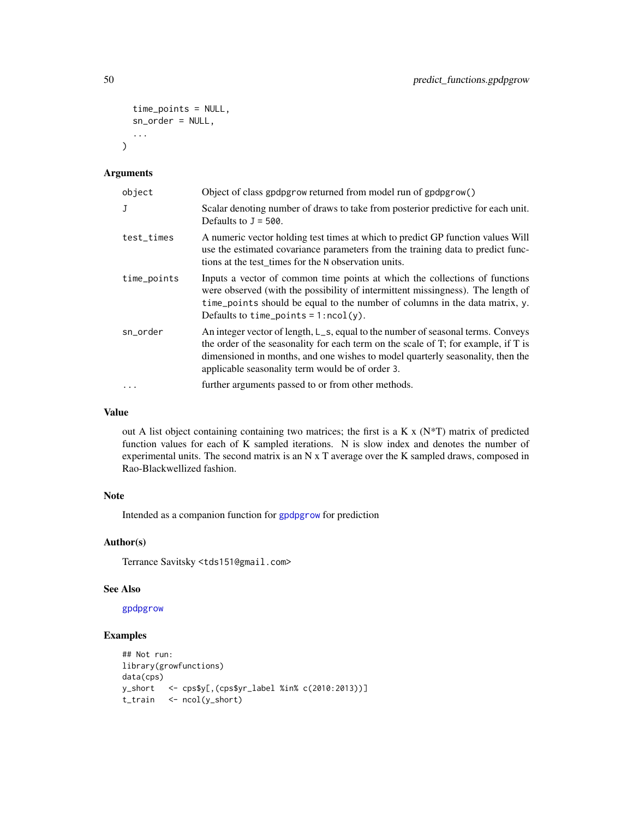```
time_points = NULL,
  sn_order = NULL,
  ...
\mathcal{L}
```
#### Arguments

| object      | Object of class gpdpgrow returned from model run of gpdpgrow()                                                                                                                                                                                                                                               |
|-------------|--------------------------------------------------------------------------------------------------------------------------------------------------------------------------------------------------------------------------------------------------------------------------------------------------------------|
| J           | Scalar denoting number of draws to take from posterior predictive for each unit.<br>Defaults to $J = 500$ .                                                                                                                                                                                                  |
| test_times  | A numeric vector holding test times at which to predict GP function values Will<br>use the estimated covariance parameters from the training data to predict func-<br>tions at the test_times for the N observation units.                                                                                   |
| time_points | Inputs a vector of common time points at which the collections of functions<br>were observed (with the possibility of intermittent missingness). The length of<br>time_points should be equal to the number of columns in the data matrix, y.<br>Defaults to time_points = $1:ncol(y)$ .                     |
| sn_order    | An integer vector of length, L_s, equal to the number of seasonal terms. Conveys<br>the order of the seasonality for each term on the scale of T; for example, if T is<br>dimensioned in months, and one wishes to model quarterly seasonality, then the<br>applicable seasonality term would be of order 3. |
| $\cdots$    | further arguments passed to or from other methods.                                                                                                                                                                                                                                                           |

#### Value

out A list object containing containing two matrices; the first is a K x (N\*T) matrix of predicted function values for each of K sampled iterations. N is slow index and denotes the number of experimental units. The second matrix is an N x T average over the K sampled draws, composed in Rao-Blackwellized fashion.

#### Note

Intended as a companion function for [gpdpgrow](#page-28-1) for prediction

#### Author(s)

Terrance Savitsky <tds151@gmail.com>

#### See Also

[gpdpgrow](#page-28-1)

## Examples

```
## Not run:
library(growfunctions)
data(cps)
y_short <- cps$y[,(cps$yr_label %in% c(2010:2013))]
t_train <- ncol(y_short)
```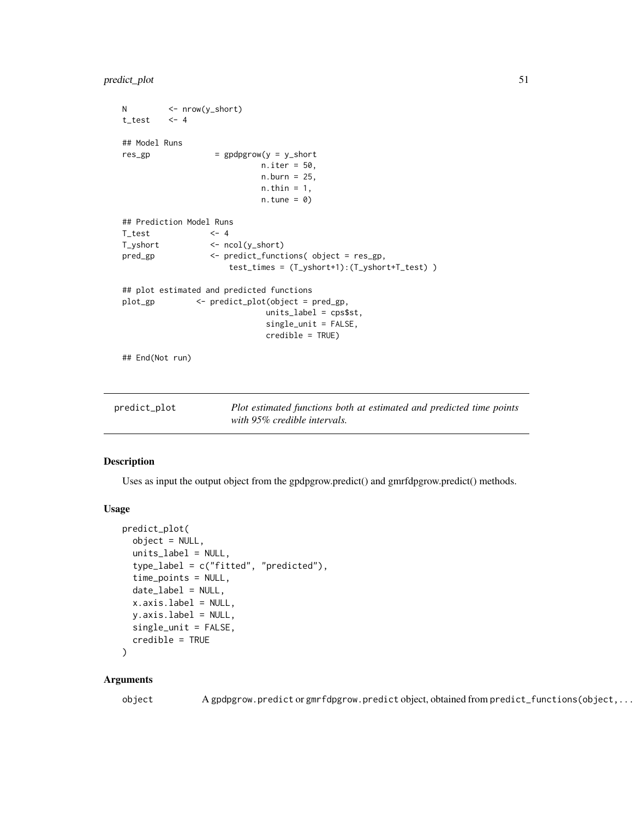```
N <- nrow(y_short)
t_{\text{test}} \leq 4## Model Runs
res\_gp = gpdpgrow(y = y_short
                          n.iter = 50,
                           n.burn = 25,
                           n.thin = 1,
                           n.tune = 0)## Prediction Model Runs
T_{\text{test}} <- 4
T_yshort <- ncol(y_short)
pred_gp <- predict_functions( object = res_gp,
                     test_times = (T_yshort+1):(T_yshort+T_test) )
## plot estimated and predicted functions
plot_gp <- predict_plot(object = pred_gp,
                            units_label = cps$st,
                            single_unit = FALSE,
                            credible = TRUE)
## End(Not run)
```
<span id="page-50-1"></span>

| predict_plot | Plot estimated functions both at estimated and predicted time points |
|--------------|----------------------------------------------------------------------|
|              | with 95% credible intervals.                                         |

#### Description

Uses as input the output object from the gpdpgrow.predict() and gmrfdpgrow.predict() methods.

#### Usage

```
predict_plot(
  object = NULL,units_label = NULL,
  type_label = c("fitted", "predicted"),
  time_points = NULL,
  date_label = NULL,
  x.axis.label = NULL,
  y.axis.label = NULL,
  single_unit = FALSE,
  credible = TRUE
```

```
)
```
#### Arguments

object A gpdpgrow.predict or gmrfdpgrow.predict object, obtained from predict\_functions(object,...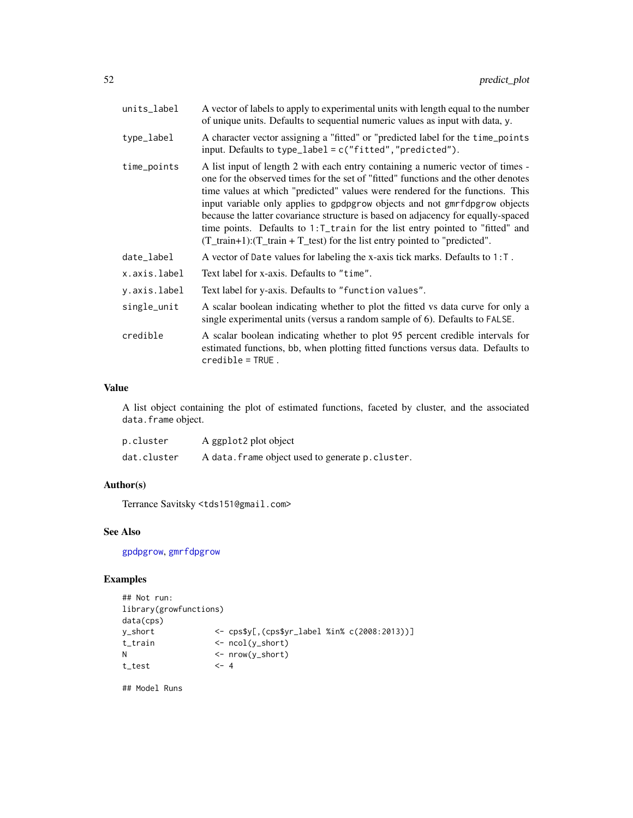<span id="page-51-0"></span>

| units_label  | A vector of labels to apply to experimental units with length equal to the number<br>of unique units. Defaults to sequential numeric values as input with data, y.                                                                                                                                                                                                                                                                                                                                                                                                                                  |
|--------------|-----------------------------------------------------------------------------------------------------------------------------------------------------------------------------------------------------------------------------------------------------------------------------------------------------------------------------------------------------------------------------------------------------------------------------------------------------------------------------------------------------------------------------------------------------------------------------------------------------|
| type_label   | A character vector assigning a "fitted" or "predicted label for the time_points<br>input. Defaults to type_label = $c("fitted", "predicted").$                                                                                                                                                                                                                                                                                                                                                                                                                                                      |
| time_points  | A list input of length 2 with each entry containing a numeric vector of times -<br>one for the observed times for the set of "fitted" functions and the other denotes<br>time values at which "predicted" values were rendered for the functions. This<br>input variable only applies to gpdpgrow objects and not gmrfdpgrow objects<br>because the latter covariance structure is based on adjacency for equally-spaced<br>time points. Defaults to 1: T_train for the list entry pointed to "fitted" and<br>$(T_{train+1})$ : $(T_{train + T_{test}})$ for the list entry pointed to "predicted". |
| date_label   | A vector of Date values for labeling the x-axis tick marks. Defaults to $1: T$ .                                                                                                                                                                                                                                                                                                                                                                                                                                                                                                                    |
| x.axis.label | Text label for x-axis. Defaults to "time".                                                                                                                                                                                                                                                                                                                                                                                                                                                                                                                                                          |
| y.axis.label | Text label for y-axis. Defaults to "function values".                                                                                                                                                                                                                                                                                                                                                                                                                                                                                                                                               |
| single_unit  | A scalar boolean indicating whether to plot the fitted vs data curve for only a<br>single experimental units (versus a random sample of 6). Defaults to FALSE.                                                                                                                                                                                                                                                                                                                                                                                                                                      |
| credible     | A scalar boolean indicating whether to plot 95 percent credible intervals for<br>estimated functions, bb, when plotting fitted functions versus data. Defaults to<br>$credible = TRUE$ .                                                                                                                                                                                                                                                                                                                                                                                                            |
|              |                                                                                                                                                                                                                                                                                                                                                                                                                                                                                                                                                                                                     |

#### Value

A list object containing the plot of estimated functions, faceted by cluster, and the associated data.frame object.

| p.cluster   | A ggplot2 plot object                             |
|-------------|---------------------------------------------------|
| dat.cluster | A data. frame object used to generate p. cluster. |

#### Author(s)

Terrance Savitsky <tds151@gmail.com>

#### See Also

[gpdpgrow](#page-28-1), [gmrfdpgrow](#page-17-1)

## Examples

```
## Not run:
library(growfunctions)
data(cps)
y_short <- cps$y[,(cps$yr_label %in% c(2008:2013))]
t_train <- ncol(y_short)
N <- nrow(y_short)
t_{\text{test}} <- 4
```
## Model Runs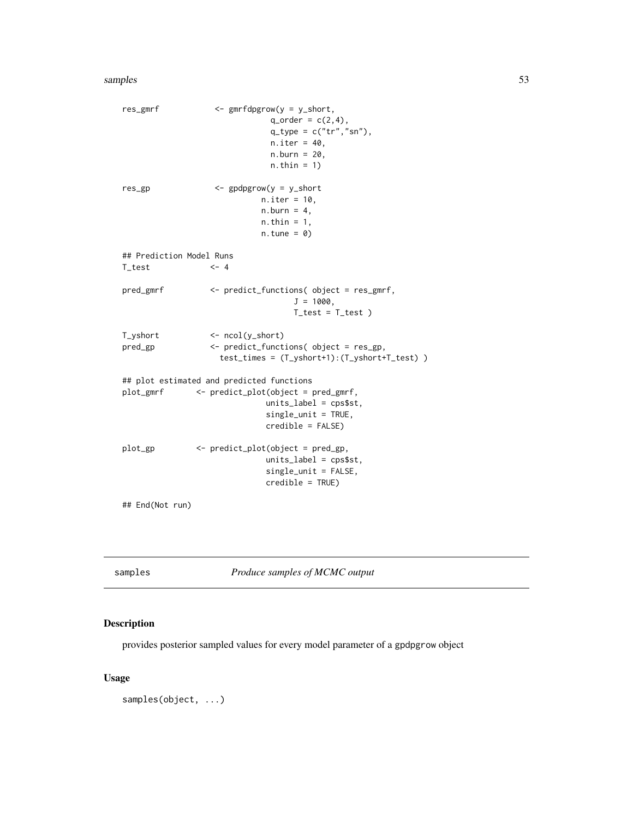#### <span id="page-52-0"></span>samples 53

```
res_gmrf <- gmrfdpgrow(y = y_short,
                             q_{\text{order}} = c(2, 4),
                             q_t ype = c("tr", "sn"),
                             n.iter = 40,
                             n.burn = 20,
                             n.thin = 1)
res_gp <- gpdpgrow(y = y_short
                           n.iter = 10,
                           n.burn = 4,
                           n.thin = 1,
                           n.tune = 0)## Prediction Model Runs
T_{\text{test}} <- 4
pred_gmrf <- predict_functions( object = res_gmrf,
                                  J = 1000,T_test = T_test )
T_yshort <- ncol(y_short)
pred_gp <- predict_functions( object = res_gp,
                   test_times = (T_yshort+1):(T_yshort+T_test) )
## plot estimated and predicted functions
plot_gmrf <- predict_plot(object = pred_gmrf,
                            units_label = cps$st,
                            single_unit = TRUE,
                            credible = FALSE)
plot_gp <- predict_plot(object = pred_gp,
                            units_label = cps$st,
                            single_unit = FALSE,
                            credible = TRUE)
```
## End(Not run)

samples *Produce samples of MCMC output*

#### Description

provides posterior sampled values for every model parameter of a gpdpgrow object

#### Usage

samples(object, ...)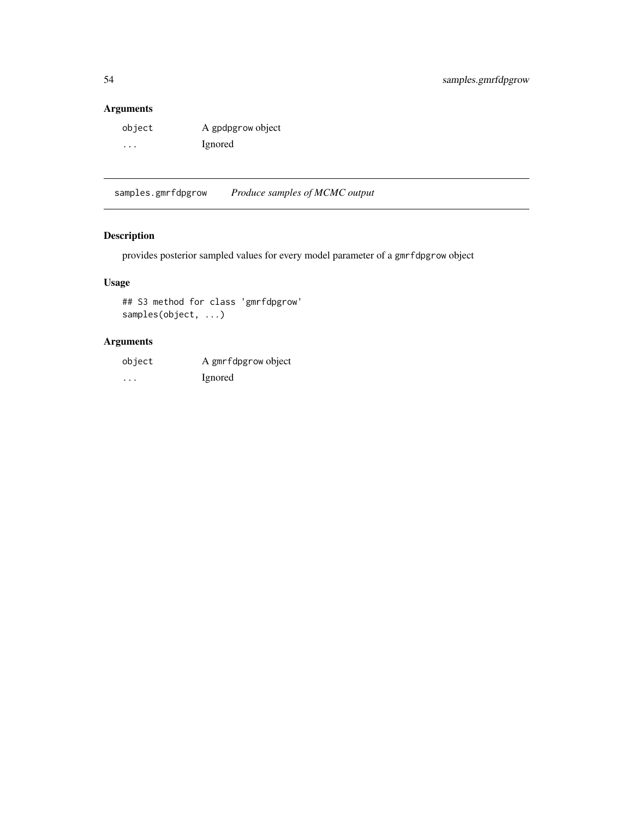## <span id="page-53-0"></span>Arguments

| object | A gpdpgrow object |
|--------|-------------------|
| .      | Ignored           |

samples.gmrfdpgrow *Produce samples of MCMC output*

## Description

provides posterior sampled values for every model parameter of a gmrfdpgrow object

## Usage

## S3 method for class 'gmrfdpgrow' samples(object, ...)

## Arguments

| object | A gmrfdpgrow object |
|--------|---------------------|
| .      | <i>l</i> gnored     |